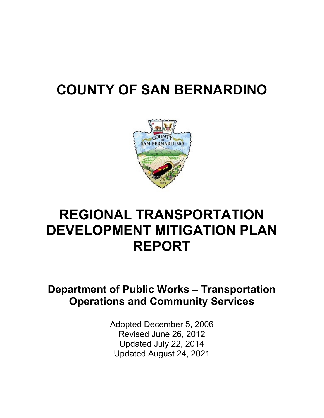# **COUNTY OF SAN BERNARDINO**



# **REGIONAL TRANSPORTATION DEVELOPMENT MITIGATION PLAN REPORT**

## **Department of Public Works – Transportation Operations and Community Services**

Adopted December 5, 2006 Revised June 26, 2012 Updated July 22, 2014 Updated August 24, 2021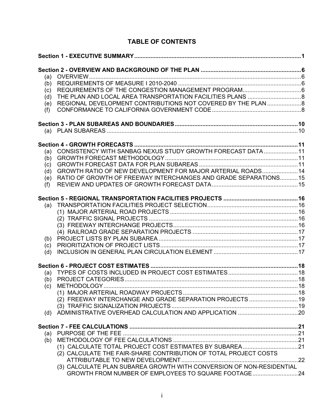| (a)<br>(b)<br>(c)<br>(d)               |                                                                                                                                                                                                 |  |
|----------------------------------------|-------------------------------------------------------------------------------------------------------------------------------------------------------------------------------------------------|--|
| (e)<br>(f)                             | REGIONAL DEVELOPMENT CONTRIBUTIONS NOT COVERED BY THE PLAN  8                                                                                                                                   |  |
|                                        |                                                                                                                                                                                                 |  |
| (a)<br>(b)<br>(c)<br>(d)<br>(e)<br>(f) | CONSISTENCY WITH SANBAG NEXUS STUDY GROWTH FORECAST DATA11<br>GROWTH RATIO OF NEW DEVELOPMENT FOR MAJOR ARTERIAL ROADS 14<br>RATIO OF GROWTH OF FREEWAY INTERCHANGES AND GRADE SEPARATIONS15    |  |
| (b)<br>(c)<br>(d)                      |                                                                                                                                                                                                 |  |
| (b)<br>(c)<br>(d)                      | (2) FREEWAY INTERCHANGE AND GRADE SEPARATION PROJECTS  19                                                                                                                                       |  |
| (b)                                    | (2) CALCULATE THE FAIR-SHARE CONTRIBUTION OF TOTAL PROJECT COSTS<br>(3) CALCULATE PLAN SUBAREA GROWTH WITH CONVERSION OF NON-RESIDENTIAL<br>GROWTH FROM NUMBER OF EMPLOYEES TO SQUARE FOOTAGE24 |  |

### **TABLE OF CONTENTS**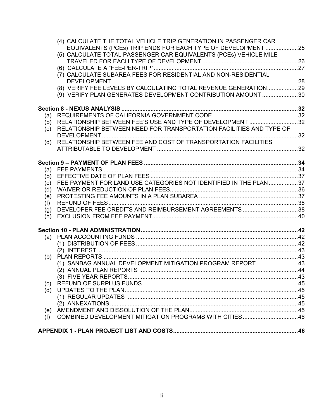|     | (4) CALCULATE THE TOTAL VEHICLE TRIP GENERATION IN PASSENGER CAR    |  |
|-----|---------------------------------------------------------------------|--|
|     | EQUIVALENTS (PCEs) TRIP ENDS FOR EACH TYPE OF DEVELOPMENT 25        |  |
|     | (5) CALCULATE TOTAL PASSENGER CAR EQUIVALENTS (PCEs) VEHICLE MILE   |  |
|     |                                                                     |  |
|     |                                                                     |  |
|     | (7) CALCULATE SUBAREA FEES FOR RESIDENTIAL AND NON-RESIDENTIAL      |  |
|     |                                                                     |  |
|     | (8) VERIFY FEE LEVELS BY CALCULATING TOTAL REVENUE GENERATION29     |  |
|     | (9) VERIFY PLAN GENERATES DEVELOPMENT CONTRIBUTION AMOUNT 30        |  |
|     |                                                                     |  |
| (a) |                                                                     |  |
| (b) | RELATIONSHIP BETWEEN FEE'S USE AND TYPE OF DEVELOPMENT 32           |  |
| (c) | RELATIONSHIP BETWEEN NEED FOR TRANSPORTATION FACILITIES AND TYPE OF |  |
|     |                                                                     |  |
| (d) | RELATIONSHIP BETWEEN FEE AND COST OF TRANSPORTATION FACILITIES      |  |
|     |                                                                     |  |
|     |                                                                     |  |
|     |                                                                     |  |
|     |                                                                     |  |
| (c) | FEE PAYMENT FOR LAND USE CATEGORIES NOT IDENTIFIED IN THE PLAN 37   |  |
| (d) |                                                                     |  |
| (e) |                                                                     |  |
| (f) |                                                                     |  |
| (g) | DEVELOPER FEE CREDITS AND REIMBURSEMENT AGREEMENTS 38               |  |
| (h) |                                                                     |  |
|     |                                                                     |  |
| (a) |                                                                     |  |
|     |                                                                     |  |
|     |                                                                     |  |
| (b) |                                                                     |  |
|     | (1) SANBAG ANNUAL DEVELOPMENT MITIGATION PROGRAM REPORT43           |  |
|     | (2) ANNUAL PLAN REPORTS …………………………………………………………………………………………44        |  |
|     |                                                                     |  |
| (c) |                                                                     |  |
| (d) |                                                                     |  |
|     |                                                                     |  |
|     |                                                                     |  |
| (e) |                                                                     |  |
| (f) | COMBINED DEVELOPMENT MITIGATION PROGRAMS WITH CITIES46              |  |
|     |                                                                     |  |
|     |                                                                     |  |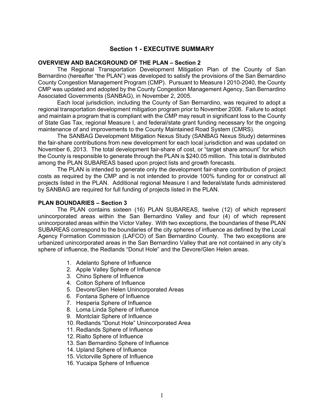#### **Section 1 - EXECUTIVE SUMMARY**

#### **OVERVIEW AND BACKGROUND OF THE PLAN – Section 2**

The Regional Transportation Development Mitigation Plan of the County of San Bernardino (hereafter "the PLAN") was developed to satisfy the provisions of the San Bernardino County Congestion Management Program (CMP). Pursuant to Measure I 2010-2040, the County CMP was updated and adopted by the County Congestion Management Agency, San Bernardino Associated Governments (SANBAG), in November 2, 2005.

Each local jurisdiction, including the County of San Bernardino, was required to adopt a regional transportation development mitigation program prior to November 2006. Failure to adopt and maintain a program that is compliant with the CMP may result in significant loss to the County of State Gas Tax, regional Measure I, and federal/state grant funding necessary for the ongoing maintenance of and improvements to the County Maintained Road System (CMRS).

The SANBAG Development Mitigation Nexus Study (SANBAG Nexus Study) determines the fair-share contributions from new development for each local jurisdiction and was updated on November 6, 2013. The total development fair-share of cost, or "target share amount" for which the County is responsible to generate through the PLAN is \$240.05 million. This total is distributed among the PLAN SUBAREAS based upon project lists and growth forecasts.

The PLAN is intended to generate only the development fair-share contribution of project costs as required by the CMP and is not intended to provide 100% funding for or construct all projects listed in the PLAN. Additional regional Measure I and federal/state funds administered by SANBAG are required for full funding of projects listed in the PLAN.

#### **PLAN BOUNDARIES – Section 3**

The PLAN contains sixteen (16) PLAN SUBAREAS, twelve (12) of which represent unincorporated areas within the San Bernardino Valley and four (4) of which represent unincorporated areas within the Victor Valley. With two exceptions, the boundaries of these PLAN SUBAREAS correspond to the boundaries of the city spheres of influence as defined by the Local Agency Formation Commission (LAFCO) of San Bernardino County. The two exceptions are urbanized unincorporated areas in the San Bernardino Valley that are not contained in any city's sphere of influence, the Redlands "Donut Hole" and the Devore/Glen Helen areas.

- 1. Adelanto Sphere of Influence
- 2. Apple Valley Sphere of Influence
- 3. Chino Sphere of Influence
- 4. Colton Sphere of Influence
- 5. Devore/Glen Helen Unincorporated Areas
- 6. Fontana Sphere of Influence
- 7. Hesperia Sphere of Influence
- 8. Loma Linda Sphere of Influence
- 9. Montclair Sphere of Influence
- 10. Redlands "Donut Hole" Unincorporated Area
- 11. Redlands Sphere of Influence
- 12. Rialto Sphere of Influence
- 13. San Bernardino Sphere of Influence
- 14. Upland Sphere of Influence
- 15. Victorville Sphere of Influence
- 16. Yucaipa Sphere of Influence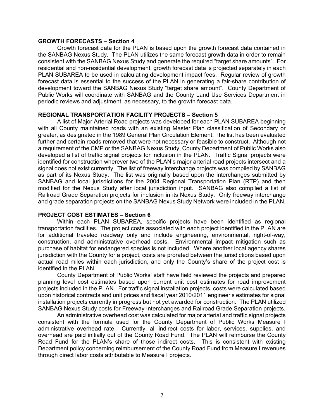#### **GROWTH FORECASTS – Section 4**

Growth forecast data for the PLAN is based upon the growth forecast data contained in the SANBAG Nexus Study. The PLAN utilizes the same forecast growth data in order to remain consistent with the SANBAG Nexus Study and generate the required "target share amounts". For residential and non-residential development, growth forecast data is projected separately in each PLAN SUBAREA to be used in calculating development impact fees. Regular review of growth forecast data is essential to the success of the PLAN in generating a fair-share contribution of development toward the SANBAG Nexus Study "target share amount". County Department of Public Works will coordinate with SANBAG and the County Land Use Services Department in periodic reviews and adjustment, as necessary, to the growth forecast data.

#### **REGIONAL TRANSPORTATION FACILITY PROJECTS – Section 5**

A list of Major Arterial Road projects was developed for each PLAN SUBAREA beginning with all County maintained roads with an existing Master Plan classification of Secondary or greater, as designated in the 1989 General Plan Circulation Element. The list has been evaluated further and certain roads removed that were not necessary or feasible to construct. Although not a requirement of the CMP or the SANBAG Nexus Study, County Department of Public Works also developed a list of traffic signal projects for inclusion in the PLAN. Traffic Signal projects were identified for construction wherever two of the PLAN's major arterial road projects intersect and a signal does not exist currently. The list of freeway interchange projects was compiled by SANBAG as part of its Nexus Study. The list was originally based upon the interchanges submitted by SANBAG and local jurisdictions for the 2004 Regional Transportation Plan (RTP) and then modified for the Nexus Study after local jurisdiction input. SANBAG also compiled a list of Railroad Grade Separation projects for inclusion in its Nexus Study. Only freeway interchange and grade separation projects on the SANBAG Nexus Study Network were included in the PLAN.

#### **PROJECT COST ESTIMATES – Section 6**

Within each PLAN SUBAREA, specific projects have been identified as regional transportation facilities. The project costs associated with each project identified in the PLAN are for additional traveled roadway only and include engineering, environmental, right-of-way, construction, and administrative overhead costs. Environmental impact mitigation such as purchase of habitat for endangered species is not included. Where another local agency shares jurisdiction with the County for a project, costs are prorated between the jurisdictions based upon actual road miles within each jurisdiction, and only the County's share of the project cost is identified in the PLAN.

County Department of Public Works' staff have field reviewed the projects and prepared planning level cost estimates based upon current unit cost estimates for road improvement projects included in the PLAN. For traffic signal installation projects, costs were calculated based upon historical contracts and unit prices and fiscal year 2010/2011 engineer's estimates for signal installation projects currently in progress but not yet awarded for construction. The PLAN utilized SANBAG Nexus Study costs for Freeway Interchanges and Railroad Grade Separation projects.

An administrative overhead cost was calculated for major arterial and traffic signal projects consistent with the formula used for the County Department of Public Works Measure I administrative overhead rate. Currently, all indirect costs for labor, services, supplies, and overhead are paid initially out of the County Road Fund. The PLAN will reimburse the County Road Fund for the PLAN's share of those indirect costs. This is consistent with existing Department policy concerning reimbursement of the County Road Fund from Measure I revenues through direct labor costs attributable to Measure I projects.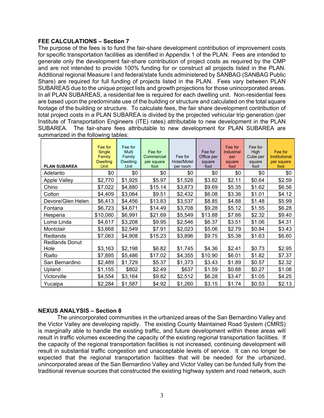#### **FEE CALCULATIONS – Section 7**

The purpose of the fees is to fund the fair-share development contribution of improvement costs for specific transportation facilities as identified in Appendix 1 of the PLAN. Fees are intended to generate only the development fair-share contribution of project costs as required by the CMP and are not intended to provide 100% funding for or construct all projects listed in the PLAN. Additional regional Measure I and federal/state funds administered by SANBAG (SANBAG Public Share) are required for full funding of projects listed in the PLAN. Fees vary between PLAN SUBAREAS due to the unique project lists and growth projections for those unincorporated areas. In all PLAN SUBAREAS, a residential fee is required for each dwelling unit. Non-residential fees are based upon the predominate use of the building or structure and calculated on the total square footage of the building or structure. To calculate fees, the fair share development contribution of total project costs in a PLAN SUBAREA is divided by the projected vehicular trip generation (per Institute of Transportation Engineers (ITE) rates) attributable to new development in the PLAN SUBAREA. The fair-share fees attributable to new development for PLAN SUBAREA are summarized in the following tables:

| <b>PLAN SUBAREA</b>           | Fee for<br><b>Single</b><br>Family<br><b>Dwelling</b><br>Unit | Fee for<br><b>Multi</b><br>Family<br><b>Dwelling</b><br>Unit | Fee for<br>Commercial<br>per square<br>foot | Fee for<br>Hotel/Motel<br>per room | Fee for<br>Office per<br>square<br>foot | Fee for<br><b>Industrial</b><br>per<br>square<br>foot | Fee for<br>High<br>Cube per<br>square<br>foot | Fee for<br>Institutional<br>per square<br>foot |
|-------------------------------|---------------------------------------------------------------|--------------------------------------------------------------|---------------------------------------------|------------------------------------|-----------------------------------------|-------------------------------------------------------|-----------------------------------------------|------------------------------------------------|
| Adelanto                      | \$0                                                           | \$0                                                          | \$0                                         | \$0                                | \$0                                     | \$0                                                   | \$0                                           | \$0                                            |
| Apple Valley                  | \$2,770                                                       | \$1,925                                                      | \$5.97                                      | \$1,528                            | \$3.82                                  | \$2.11                                                | \$0.64                                        | \$2.59                                         |
| Chino                         | \$7,022                                                       | \$4,880                                                      | \$15.14                                     | \$3,873                            | \$9.69                                  | \$5.35                                                | \$1.62                                        | \$6.56                                         |
| Colton                        | \$4,409                                                       | \$3,064                                                      | \$9.51                                      | \$2,432                            | \$6.08                                  | \$3.36                                                | \$1.01                                        | \$4.12                                         |
| Devore/Glen Helen             | \$6,413                                                       | \$4,456                                                      | \$13.83                                     | \$3,537                            | \$8.85                                  | \$4.88                                                | \$1.48                                        | \$5.99                                         |
| Fontana                       | \$6,723                                                       | \$4,671                                                      | \$14.49                                     | \$3,708                            | \$9.28                                  | \$5.12                                                | \$1.55                                        | \$6.28                                         |
| Hesperia                      | \$10,060                                                      | \$6,991                                                      | \$21.69                                     | \$5,549                            | \$13.88                                 | \$7.66                                                | \$2.32                                        | \$9.40                                         |
| Loma Linda                    | \$4,617                                                       | \$3,208                                                      | \$9.95                                      | \$2,546                            | \$6.37                                  | \$3.51                                                | \$1.06                                        | \$4.31                                         |
| Montclair                     | \$3,668                                                       | \$2,549                                                      | \$7.91                                      | \$2,023                            | \$5.06                                  | \$2.79                                                | \$0.84                                        | \$3.43                                         |
| Redlands                      | \$7,063                                                       | \$4,908                                                      | \$15.23                                     | \$3,896                            | \$9.75                                  | \$5.38                                                | \$1.63                                        | \$6.60                                         |
| <b>Redlands Donut</b><br>Hole | \$3,163                                                       | \$2,198                                                      | \$6.82                                      | \$1,745                            | \$4.36                                  | \$2.41                                                | \$0.73                                        | \$2.95                                         |
| Rialto                        | \$7,895                                                       | \$5,486                                                      | \$17.02                                     | \$4,355                            | \$10.90                                 | \$6.01                                                | \$1.82                                        | \$7.37                                         |
| San Bernardino                | \$2,489                                                       | \$1,729                                                      | \$5.37                                      | \$1,373                            | \$3.43                                  | \$1.89                                                | \$0.57                                        | \$2.32                                         |
| Upland                        | \$1,155                                                       | \$802                                                        | \$2.49                                      | \$637                              | \$1.59                                  | \$0.88                                                | \$0.27                                        | \$1.08                                         |
| Victorville                   | \$4,554                                                       | \$3,164                                                      | \$9.82                                      | \$2,512                            | \$6.28                                  | \$3.47                                                | \$1.05                                        | \$4.25                                         |
| Yucaipa                       | \$2,284                                                       | \$1,587                                                      | \$4.92                                      | \$1,260                            | \$3.15                                  | \$1.74                                                | \$0.53                                        | \$2.13                                         |

#### **NEXUS ANALYSIS – Section 8**

The unincorporated communities in the urbanized areas of the San Bernardino Valley and the Victor Valley are developing rapidly. The existing County Maintained Road System (CMRS) is marginally able to handle the existing traffic, and future development within these areas will result in traffic volumes exceeding the capacity of the existing regional transportation facilities. If the capacity of the regional transportation facilities is not increased, continuing development will result in substantial traffic congestion and unacceptable levels of service. It can no longer be expected that the regional transportation facilities that will be needed for the urbanized, unincorporated areas of the San Bernardino Valley and Victor Valley can be funded fully from the traditional revenue sources that constructed the existing highway system and road network, such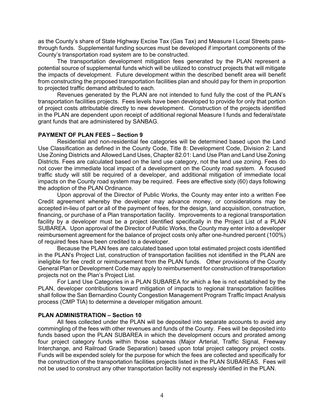as the County's share of State Highway Excise Tax (Gas Tax) and Measure I Local Streets passthrough funds. Supplemental funding sources must be developed if important components of the County's transportation road system are to be constructed.

The transportation development mitigation fees generated by the PLAN represent a potential source of supplemental funds which will be utilized to construct projects that will mitigate the impacts of development. Future development within the described benefit area will benefit from constructing the proposed transportation facilities plan and should pay for them in proportion to projected traffic demand attributed to each.

Revenues generated by the PLAN are not intended to fund fully the cost of the PLAN's transportation facilities projects. Fees levels have been developed to provide for only that portion of project costs attributable directly to new development. Construction of the projects identified in the PLAN are dependent upon receipt of additional regional Measure I funds and federal/state grant funds that are administered by SANBAG.

#### **PAYMENT OF PLAN FEES – Section 9**

Residential and non-residential fee categories will be determined based upon the Land Use Classification as defined in the County Code, Title 8: Development Code, Division 2: Land Use Zoning Districts and Allowed Land Uses, Chapter 82.01: Land Use Plan and Land Use Zoning Districts. Fees are calculated based on the land use category, not the land use zoning. Fees do not cover the immediate local impact of a development on the County road system. A focused traffic study will still be required of a developer, and additional mitigation of immediate local impacts on the County road system may be required. Fees are effective sixty (60) days following the adoption of the PLAN Ordinance.

Upon approval of the Director of Public Works, the County may enter into a written Fee Credit agreement whereby the developer may advance money, or considerations may be accepted in-lieu of part or all of the payment of fees, for the design, land acquisition, construction, financing, or purchase of a Plan transportation facility. Improvements to a regional transportation facility by a developer must be a project identified specifically in the Project List of a PLAN SUBAREA. Upon approval of the Director of Public Works, the County may enter into a developer reimbursement agreement for the balance of project costs only after one-hundred percent (100%) of required fees have been credited to a developer.

Because the PLAN fees are calculated based upon total estimated project costs identified in the PLAN's Project List, construction of transportation facilities not identified in the PLAN are ineligible for fee credit or reimbursement from the PLAN funds. Other provisions of the County General Plan or Development Code may apply to reimbursement for construction of transportation projects not on the Plan's Project List.

For Land Use Categories in a PLAN SUBAREA for which a fee is not established by the PLAN, developer contributions toward mitigation of impacts to regional transportation facilities shall follow the San Bernardino County Congestion Management Program Traffic Impact Analysis process (CMP TIA) to determine a developer mitigation amount.

#### **PLAN ADMINISTRATION – Section 10**

All fees collected under the PLAN will be deposited into separate accounts to avoid any commingling of the fees with other revenues and funds of the County. Fees will be deposited into funds based upon the PLAN SUBAREA in which the development occurs and prorated among four project category funds within those subareas (Major Arterial, Traffic Signal, Freeway Interchange, and Railroad Grade Separation) based upon total project category project costs. Funds will be expended solely for the purpose for which the fees are collected and specifically for the construction of the transportation facilities projects listed in the PLAN SUBAREAS. Fees will not be used to construct any other transportation facility not expressly identified in the PLAN.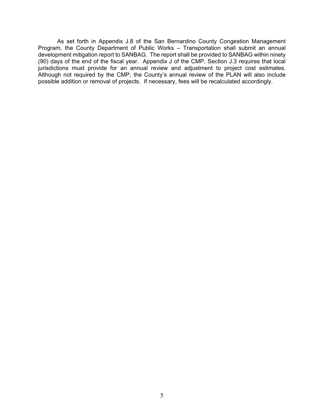As set forth in Appendix J.8 of the San Bernardino County Congestion Management Program, the County Department of Public Works – Transportation shall submit an annual development mitigation report to SANBAG. The report shall be provided to SANBAG within ninety (90) days of the end of the fiscal year. Appendix J of the CMP, Section J.3 requires that local jurisdictions must provide for an annual review and adjustment to project cost estimates. Although not required by the CMP, the County's annual review of the PLAN will also include possible addition or removal of projects. If necessary, fees will be recalculated accordingly.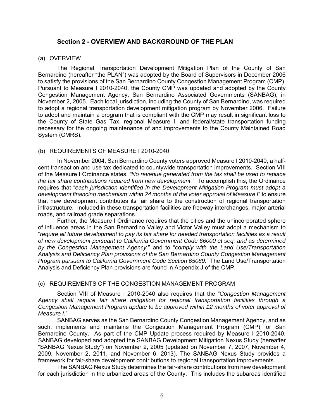#### **Section 2 - OVERVIEW AND BACKGROUND OF THE PLAN**

#### (a) OVERVIEW

The Regional Transportation Development Mitigation Plan of the County of San Bernardino (hereafter "the PLAN") was adopted by the Board of Supervisors in December 2006 to satisfy the provisions of the San Bernardino County Congestion Management Program (CMP). Pursuant to Measure I 2010-2040, the County CMP was updated and adopted by the County Congestion Management Agency, San Bernardino Associated Governments (SANBAG), in November 2, 2005. Each local jurisdiction, including the County of San Bernardino, was required to adopt a regional transportation development mitigation program by November 2006. Failure to adopt and maintain a program that is compliant with the CMP may result in significant loss to the County of State Gas Tax, regional Measure I, and federal/state transportation funding necessary for the ongoing maintenance of and improvements to the County Maintained Road System (CMRS).

#### (b) REQUIREMENTS OF MEASURE I 2010-2040

In November 2004, San Bernardino County voters approved Measure I 2010-2040, a halfcent transaction and use tax dedicated to countywide transportation improvements. Section VIII of the Measure I Ordinance states, *"No revenue generated from the tax shall be used to replace the fair share contributions required from new development."* To accomplish this, the Ordinance requires that "*each jurisdiction identified in the Development Mitigation Program must adopt a development financing mechanism within 24 months of the voter approval of Measure I*" to ensure that new development contributes its fair share to the construction of regional transportation infrastructure. Included in these transportation facilities are freeway interchanges, major arterial roads, and railroad grade separations.

Further, the Measure I Ordinance requires that the cities and the unincorporated sphere of influence areas in the San Bernardino Valley and Victor Valley must adopt a mechanism to "*require all future development to pay its fair share for needed transportation facilities as a result of new development pursuant to California Government Code 66000 et seq. and as determined by the Congestion Management Agency,*" and to "*comply with the Land Use/Transportation Analysis and Deficiency Plan provisions of the San Bernardino County Congestion Management Program pursuant to California Government Code Section 65089.*" The Land Use/Transportation Analysis and Deficiency Plan provisions are found in Appendix J of the CMP.

#### (c) REQUIREMENTS OF THE CONGESTION MANAGEMENT PROGRAM

Section VIII of Measure I 2010-2040 also requires that the "*Congestion Management Agency shall require fair share mitigation for regional transportation facilities through a Congestion Management Program update to be approved within 12 months of voter approval of Measure I.*"

SANBAG serves as the San Bernardino County Congestion Management Agency, and as such, implements and maintains the Congestion Management Program (CMP) for San Bernardino County. As part of the CMP Update process required by Measure I 2010-2040, SANBAG developed and adopted the SANBAG Development Mitigation Nexus Study (hereafter "SANBAG Nexus Study") on November 2, 2005 (updated on November 7, 2007, November 4, 2009, November 2, 2011, and November 6, 2013). The SANBAG Nexus Study provides a framework for fair-share development contributions to regional transportation improvements.

The SANBAG Nexus Study determines the fair-share contributions from new development for each jurisdiction in the urbanized areas of the County. This includes the subareas identified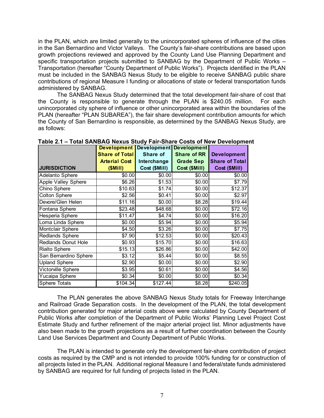in the PLAN, which are limited generally to the unincorporated spheres of influence of the cities in the San Bernardino and Victor Valleys. The County's fair-share contributions are based upon growth projections reviewed and approved by the County Land Use Planning Department and specific transportation projects submitted to SANBAG by the Department of Public Works – Transportation (hereafter "County Department of Public Works"). Projects identified in the PLAN must be included in the SANBAG Nexus Study to be eligible to receive SANBAG public share contributions of regional Measure I funding or allocations of state or federal transportation funds administered by SANBAG.

The SANBAG Nexus Study determined that the total development fair-share of cost that the County is responsible to generate through the PLAN is \$240.05 million. For each unincorporated city sphere of influence or other unincorporated area within the boundaries of the PLAN (hereafter "PLAN SUBAREA"), the fair share development contribution amounts for which the County of San Bernardino is responsible, as determined by the SANBAG Nexus Study, are as follows:

|                            | <b>Development</b>    | <b>Development</b> | <b>Development</b> |                       |
|----------------------------|-----------------------|--------------------|--------------------|-----------------------|
|                            | <b>Share of Total</b> | Share of           | <b>Share of RR</b> | <b>Development</b>    |
|                            | <b>Arterial Cost</b>  | Interchange        | <b>Grade Sep</b>   | <b>Share of Total</b> |
| <b>JURISDICTION</b>        | (SMill)               | Cost (\$Mill)      | Cost (\$Mill)      | Cost (\$Mill)         |
| <b>Adelanto Sphere</b>     | \$0.00                | \$0.00             | \$0.00             | \$0.00                |
| <b>Apple Valley Sphere</b> | \$6.26                | \$1.53             | \$0.00             | \$7.79                |
| Chino Sphere               | \$10.63               | \$1.74             | \$0.00             | \$12.37               |
| <b>Colton Sphere</b>       | \$2.56                | \$0.41             | \$0.00             | \$2.97                |
| Devore/Glen Helen          | \$11.16               | \$0.00             | \$8.28             | \$19.44               |
| Fontana Sphere             | \$23.48               | \$48.68            | \$0.00             | \$72.16               |
| Hesperia Sphere            | \$11.47               | \$4.74             | \$0.00             | \$16.20               |
| Loma Linda Sphere          | \$0.00                | \$5.94             | \$0.00             | \$5.94                |
| Montclair Sphere           | \$4.50                | \$3.26             | \$0.00             | \$7.75                |
| Redlands Sphere            | \$7.90                | \$12.53            | \$0.00             | \$20.43               |
| Redlands Donut Hole        | \$0.93                | \$15.70            | \$0.00             | \$16.63               |
| <b>Rialto Sphere</b>       | \$15.13               | \$26.86            | \$0.00             | \$42.00               |
| San Bernardino Sphere      | \$3.12                | \$5.44             | \$0.00             | \$8.55                |
| <b>Upland Sphere</b>       | \$2.90                | \$0.00             | \$0.00             | \$2.90                |
| Victorville Sphere         | \$3.95                | \$0.61             | \$0.00             | \$4.56                |
| Yucaipa Sphere             | \$0.34                | \$0.00             | \$0.00             | \$0.34                |
| <b>Sphere Totals</b>       | \$104.34              | \$127.44           | \$8.28]            | \$240.05              |

**Table 2.1 – Total SANBAG Nexus Study Fair-Share Costs of New Development** 

The PLAN generates the above SANBAG Nexus Study totals for Freeway Interchange and Railroad Grade Separation costs. In the development of the PLAN, the total development contribution generated for major arterial costs above were calculated by County Department of Public Works after completion of the Department of Public Works' Planning Level Project Cost Estimate Study and further refinement of the major arterial project list. Minor adjustments have also been made to the growth projections as a result of further coordination between the County Land Use Services Department and County Department of Public Works.

The PLAN is intended to generate only the development fair-share contribution of project costs as required by the CMP and is not intended to provide 100% funding for or construction of all projects listed in the PLAN. Additional regional Measure I and federal/state funds administered by SANBAG are required for full funding of projects listed in the PLAN.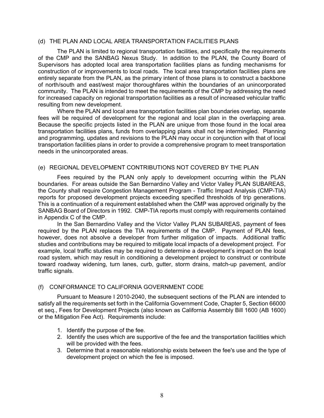#### (d) THE PLAN AND LOCAL AREA TRANSPORTATION FACILITIES PLANS

The PLAN is limited to regional transportation facilities, and specifically the requirements of the CMP and the SANBAG Nexus Study. In addition to the PLAN, the County Board of Supervisors has adopted local area transportation facilities plans as funding mechanisms for construction of or improvements to local roads. The local area transportation facilities plans are entirely separate from the PLAN, as the primary intent of those plans is to construct a backbone of north/south and east/west major thoroughfares within the boundaries of an unincorporated community. The PLAN is intended to meet the requirements of the CMP by addressing the need for increased capacity on regional transportation facilities as a result of increased vehicular traffic resulting from new development.

Where the PLAN and local area transportation facilities plan boundaries overlap, separate fees will be required of development for the regional and local plan in the overlapping area. Because the specific projects listed in the PLAN are unique from those found in the local area transportation facilities plans, funds from overlapping plans shall not be intermingled. Planning and programming, updates and revisions to the PLAN may occur in conjunction with that of local transportation facilities plans in order to provide a comprehensive program to meet transportation needs in the unincorporated areas.

#### (e) REGIONAL DEVELOPMENT CONTRIBUTIONS NOT COVERED BY THE PLAN

Fees required by the PLAN only apply to development occurring within the PLAN boundaries. For areas outside the San Bernardino Valley and Victor Valley PLAN SUBAREAS, the County shall require Congestion Management Program - Traffic Impact Analysis (CMP-TIA) reports for proposed development projects exceeding specified thresholds of trip generations. This is a continuation of a requirement established when the CMP was approved originally by the SANBAG Board of Directors in 1992. CMP-TIA reports must comply with requirements contained in Appendix C of the CMP.

In the San Bernardino Valley and the Victor Valley PLAN SUBAREAS, payment of fees required by the PLAN replaces the TIA requirements of the CMP. Payment of PLAN fees, however, does not absolve a developer from further mitigation of impacts. Additional traffic studies and contributions may be required to mitigate local impacts of a development project. For example, local traffic studies may be required to determine a development's impact on the local road system, which may result in conditioning a development project to construct or contribute toward roadway widening, turn lanes, curb, gutter, storm drains, match-up pavement, and/or traffic signals.

#### (f) CONFORMANCE TO CALIFORNIA GOVERNMENT CODE

Pursuant to Measure I 2010-2040, the subsequent sections of the PLAN are intended to satisfy all the requirements set forth in the California Government Code, Chapter 5, Section 66000 et seq., Fees for Development Projects (also known as California Assembly Bill 1600 (AB 1600) or the Mitigation Fee Act). Requirements include:

- 1. Identify the purpose of the fee.
- 2. Identify the uses which are supportive of the fee and the transportation facilities which will be provided with the fees.
- 3. Determine that a reasonable relationship exists between the fee's use and the type of development project on which the fee is imposed.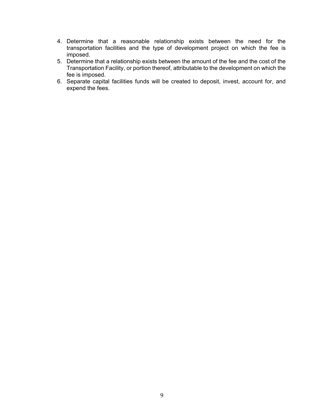- 4. Determine that a reasonable relationship exists between the need for the transportation facilities and the type of development project on which the fee is imposed.
- 5. Determine that a relationship exists between the amount of the fee and the cost of the Transportation Facility, or portion thereof, attributable to the development on which the fee is imposed.
- 6. Separate capital facilities funds will be created to deposit, invest, account for, and expend the fees.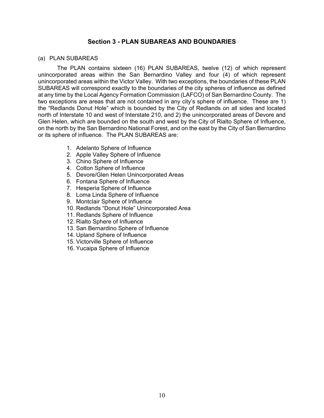#### **Section 3 - PLAN SUBAREAS AND BOUNDARIES**

#### (a) PLAN SUBAREAS

The PLAN contains sixteen (16) PLAN SUBAREAS, twelve (12) of which represent unincorporated areas within the San Bernardino Valley and four (4) of which represent unincorporated areas within the Victor Valley. With two exceptions, the boundaries of these PLAN SUBAREAS will correspond exactly to the boundaries of the city spheres of influence as defined at any time by the Local Agency Formation Commission (LAFCO) of San Bernardino County. The two exceptions are areas that are not contained in any city's sphere of influence. These are 1) the "Redlands Donut Hole" which is bounded by the City of Redlands on all sides and located north of Interstate 10 and west of Interstate 210, and 2) the unincorporated areas of Devore and Glen Helen, which are bounded on the south and west by the City of Rialto Sphere of Influence, on the north by the San Bernardino National Forest, and on the east by the City of San Bernardino or its sphere of influence. The PLAN SUBAREAS are:

- 1. Adelanto Sphere of Influence
- 2. Apple Valley Sphere of Influence
- 3. Chino Sphere of Influence
- 4. Colton Sphere of Influence
- 5. Devore/Glen Helen Unincorporated Areas
- 6. Fontana Sphere of Influence
- 7. Hesperia Sphere of Influence
- 8. Loma Linda Sphere of Influence
- 9. Montclair Sphere of Influence
- 10. Redlands "Donut Hole" Unincorporated Area
- 11. Redlands Sphere of Influence
- 12. Rialto Sphere of Influence
- 13. San Bernardino Sphere of Influence
- 14. Upland Sphere of Influence
- 15. Victorville Sphere of Influence
- 16. Yucaipa Sphere of Influence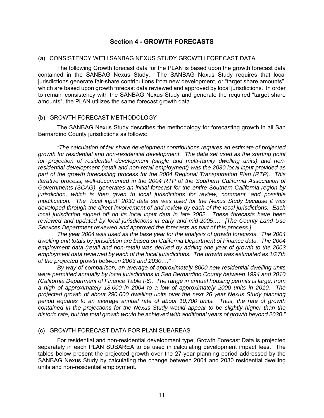#### **Section 4 - GROWTH FORECASTS**

#### (a) CONSISTENCY WITH SANBAG NEXUS STUDY GROWTH FORECAST DATA

The following Growth forecast data for the PLAN is based upon the growth forecast data contained in the SANBAG Nexus Study. The SANBAG Nexus Study requires that local jurisdictions generate fair-share contributions from new development, or "target share amounts", which are based upon growth forecast data reviewed and approved by local jurisdictions. In order to remain consistency with the SANBAG Nexus Study and generate the required "target share amounts", the PLAN utilizes the same forecast growth data.

#### (b) GROWTH FORECAST METHODOLOGY

The SANBAG Nexus Study describes the methodology for forecasting growth in all San Bernardino County jurisdictions as follows:

*"The calculation of fair share development contributions requires an estimate of projected growth for residential and non-residential development. The data set used as the starting point for projection of residential development (single and multi-family dwelling units) and nonresidential development (retail and non-retail employment) was the 2030 local input provided as part of the growth forecasting process for the 2004 Regional Transportation Plan (RTP). This iterative process, well-documented in the 2004 RTP of the Southern California Association of Governments (SCAG), generates an initial forecast for the entire Southern California region by jurisdiction, which is then given to local jurisdictions for review, comment, and possible modification. The "local input" 2030 data set was used for the Nexus Study because it was developed through the direct involvement of and review by each of the local jurisdictions. Each local jurisdiction signed off on its local input data in late 2002. These forecasts have been reviewed and updated by local jurisdictions in early and mid-2005…. [The County Land Use Services Department reviewed and approved the forecasts as part of this process.]* 

*The year 2004 was used as the base year for the analysis of growth forecasts. The 2004 dwelling unit totals by jurisdiction are based on California Department of Finance data. The 2004 employment data (retail and non-retail) was derived by adding one year of growth to the 2003 employment data reviewed by each of the local jurisdictions. The growth was estimated as 1/27th of the projected growth between 2003 and 2030…."* 

*By way of comparison, an average of approximately 8000 new residential dwelling units were permitted annually by local jurisdictions in San Bernardino County between 1994 and 2010 (California Department of Finance Table I-6). The range in annual housing permits is large, from a high of approximately 18,000 in 2004 to a low of approximately 2000 units in 2010. The projected growth of about 290,000 dwelling units over the next 26 year Nexus Study planning period equates to an average annual rate of about 10,700 units. Thus, the rate of growth contained in the projections for the Nexus Study would appear to be slightly higher than the historic rate, but the total growth would be achieved with additional years of growth beyond 2030."* 

#### (c) GROWTH FORECAST DATA FOR PLAN SUBAREAS

For residential and non-residential development type, Growth Forecast Data is projected separately in each PLAN SUBAREA to be used in calculating development impact fees. The tables below present the projected growth over the 27-year planning period addressed by the SANBAG Nexus Study by calculating the change between 2004 and 2030 residential dwelling units and non-residential employment.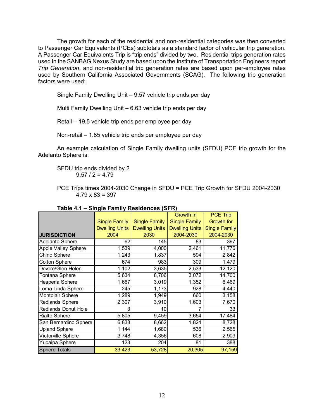The growth for each of the residential and non-residential categories was then converted to Passenger Car Equivalents (PCEs) subtotals as a standard factor of vehicular trip generation. A Passenger Car Equivalents Trip is "trip ends" divided by two. Residential trips generation rates used in the SANBAG Nexus Study are based upon the Institute of Transportation Engineers report *Trip Generation*, and non-residential trip generation rates are based upon per-employee rates used by Southern California Associated Governments (SCAG). The following trip generation factors were used:

Single Family Dwelling Unit – 9.57 vehicle trip ends per day

Multi Family Dwelling Unit – 6.63 vehicle trip ends per day

Retail – 19.5 vehicle trip ends per employee per day

Non-retail – 1.85 vehicle trip ends per employee per day

An example calculation of Single Family dwelling units (SFDU) PCE trip growth for the Adelanto Sphere is:

SFDU trip ends divided by 2  $9.57 / 2 = 4.79$ 

PCE Trips times 2004-2030 Change in SFDU = PCE Trip Growth for SFDU 2004-2030  $4.79 \times 83 = 397$ 

|                            |                       |                       | Growth in             | <b>PCE Trip</b>      |
|----------------------------|-----------------------|-----------------------|-----------------------|----------------------|
|                            | <b>Single Family</b>  | <b>Single Family</b>  | <b>Single Family</b>  | <b>Growth for</b>    |
|                            | <b>Dwelling Units</b> | <b>Dwelling Units</b> | <b>Dwelling Units</b> | <b>Single Family</b> |
| <b>JURISDICTION</b>        | 2004                  | 2030                  | 2004-2030             | 2004-2030            |
| <b>Adelanto Sphere</b>     | 62                    | 145                   | 83                    | 397                  |
| Apple Valley Sphere        | 1,539                 | 4,000                 | 2,461                 | 11,776               |
| Chino Sphere               | 1,243                 | 1,837                 | 594                   | 2,842                |
| <b>Colton Sphere</b>       | 674                   | 983                   | 309                   | 1,479                |
| Devore/Glen Helen          | 1,102                 | 3,635                 | 2,533                 | 12,120               |
| Fontana Sphere             | 5,634                 | 8,706                 | 3,072                 | 14,700               |
| Hesperia Sphere            | 1,667                 | 3,019                 | 1,352                 | 6,469                |
| Loma Linda Sphere          | 245                   | 1,173                 | 928                   | 4,440                |
| Montclair Sphere           | 1,289                 | 1,949                 | 660                   | 3,158                |
| <b>Redlands Sphere</b>     | 2,307                 | 3,910                 | 1,603                 | 7,670                |
| <b>Redlands Donut Hole</b> | З                     | 10                    |                       | 33                   |
| <b>Rialto Sphere</b>       | 5,805                 | 9,459                 | 3,654                 | 17,484               |
| San Bernardino Sphere      | 6,838                 | 8,662                 | 1,824                 | 8,728                |
| <b>Upland Sphere</b>       | 1,144                 | 1,680                 | 536                   | 2,565                |
| Victorville Sphere         | 3,748                 | 4,356                 | 608                   | 2,909                |
| Yucaipa Sphere             | 123                   | 204                   | 81                    | 388                  |
| <b>Sphere Totals</b>       | 33,423                | 53,728                | 20,305                | 97,159               |

| Table 4.1 – Single Family Residences (SFR) |  |  |
|--------------------------------------------|--|--|
|                                            |  |  |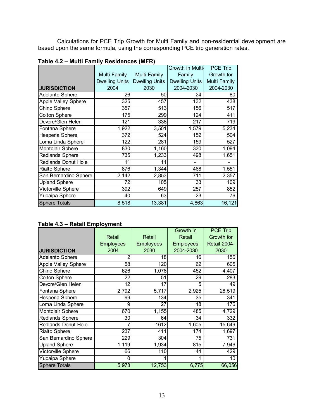Calculations for PCE Trip Growth for Multi Family and non-residential development are based upon the same formula, using the corresponding PCE trip generation rates.

|                            |                       |                       | Growth in Multi-      | PCE Trip            |
|----------------------------|-----------------------|-----------------------|-----------------------|---------------------|
|                            | Multi-Family          | Multi-Family          | Family                | Growth for          |
|                            | <b>Dwelling Units</b> | <b>Dwelling Units</b> | <b>Dwelling Units</b> | <b>Multi Family</b> |
| <b>JURISDICTION</b>        | 2004                  | 2030                  | 2004-2030             | 2004-2030           |
| Adelanto Sphere            | 26                    | 50                    | 24                    | 80                  |
| Apple Valley Sphere        | 325                   | 457                   | 132                   | 438                 |
| Chino Sphere               | 357                   | 513                   | 156                   | 517                 |
| <b>Colton Sphere</b>       | 175                   | 299                   | 124                   | 411                 |
| Devore/Glen Helen          | 121                   | 338                   | 217                   | 719                 |
| Fontana Sphere             | 1,922                 | 3,501                 | 1,579                 | 5,234               |
| Hesperia Sphere            | 372                   | 524                   | 152                   | 504                 |
| Loma Linda Sphere          | 122                   | 281                   | 159                   | 527                 |
| Montclair Sphere           | 830                   | 1,160                 | 330                   | 1,094               |
| Redlands Sphere            | 735                   | 1,233                 | 498                   | 1,651               |
| <b>Redlands Donut Hole</b> | 11                    | 11                    |                       |                     |
| Rialto Sphere              | 876                   | 1,344                 | 468                   | 1,551               |
| San Bernardino Sphere      | 2,142                 | 2,853                 | 711                   | 2,357               |
| <b>Upland Sphere</b>       | 72                    | 105                   | 33                    | 109                 |
| Victorville Sphere         | 392                   | 649                   | 257                   | 852                 |
| Yucaipa Sphere             | 40                    | 63                    | 23                    | 76                  |
| <b>Sphere Totals</b>       | 8,518                 | 13,381                | 4,863                 | 16,121              |

**Table 4.2 – Multi Family Residences (MFR)** 

#### **Table 4.3 – Retail Employment**

|                            |                  |                  | Growth in        | <b>PCE Trip</b> |
|----------------------------|------------------|------------------|------------------|-----------------|
|                            | Retail           | Retail           | Retail           | Growth for      |
|                            | <b>Employees</b> | <b>Employees</b> | <b>Employees</b> | Retail 2004-    |
| <b>JURISDICTION</b>        | 2004             | 2030             | 2004-2030        | 2030            |
| Adelanto Sphere            | 2                | 18               | 16               | 156             |
| <b>Apple Valley Sphere</b> | 58               | 120              | 62               | 605             |
| Chino Sphere               | 626              | 1,078            | 452              | 4,407           |
| <b>Colton Sphere</b>       | $22 \vert$       | 51               | 29               | 283             |
| Devore/Glen Helen          | 12               | 17               | 5                | 49              |
| Fontana Sphere             | 2,792            | 5,717            | 2,925            | 28,519          |
| Hesperia Sphere            | 99               | 134              | 35               | 341             |
| Loma Linda Sphere          | 9                | 27               | 18               | 176             |
| <b>Montclair Sphere</b>    | 670              | 1,155            | 485              | 4,729           |
| <b>Redlands Sphere</b>     | 30 <sup>2</sup>  | 64               | 34               | 332             |
| <b>Redlands Donut Hole</b> |                  | 1612             | 1,605            | 15,649          |
| <b>Rialto Sphere</b>       | 237              | 411              | 174              | 1,697           |
| San Bernardino Sphere      | 229              | 304              | 75               | 731             |
| Upland Sphere              | 1,119            | 1,934            | 815              | 7,946           |
| <b>Victorville Sphere</b>  | 66               | 110              | 44               | 429             |
| Yucaipa Sphere             | 0                |                  | 1                | 10              |
| <b>Sphere Totals</b>       | 5,978            | 12,753           | 6,775            | 66,056          |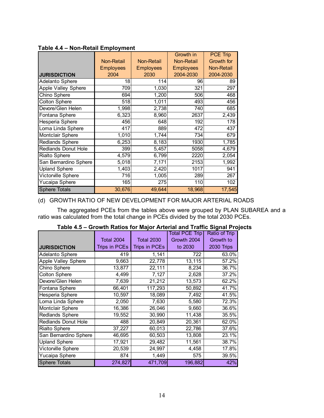|                            | <b>Non-Retail</b><br><b>Employees</b> | Growth in<br><b>Non-Retail</b><br>Non-Retail<br><b>Employees</b><br><b>Employees</b> |           | <b>PCE Trip</b><br>Growth for<br><b>Non-Retail</b> |
|----------------------------|---------------------------------------|--------------------------------------------------------------------------------------|-----------|----------------------------------------------------|
| <b>JURISDICTION</b>        | 2004                                  | 2030                                                                                 | 2004-2030 | 2004-2030                                          |
| <b>Adelanto Sphere</b>     | 18                                    | 114                                                                                  | 96        | 89                                                 |
| <b>Apple Valley Sphere</b> | 709                                   | 1,030                                                                                | 321       | 297                                                |
| Chino Sphere               | 694                                   | 1,200                                                                                | 506       | 468                                                |
| <b>Colton Sphere</b>       | 518                                   | 1,011                                                                                | 493       | 456                                                |
| Devore/Glen Helen          | 1,998                                 | 2,738                                                                                | 740       | 685                                                |
| Fontana Sphere             | 6,323                                 | 8,960                                                                                | 2637      | 2,439                                              |
| Hesperia Sphere            | 456                                   | 648                                                                                  | 192       | 178                                                |
| Loma Linda Sphere          | 417                                   | 889                                                                                  | 472       | 437                                                |
| Montclair Sphere           | 1,010                                 | 1,744                                                                                | 734       | 679                                                |
| Redlands Sphere            | 6,253                                 | 8,183                                                                                | 1930      | 1,785                                              |
| Redlands Donut Hole        | 399                                   | 5,457                                                                                | 5058      | 4,679                                              |
| <b>Rialto Sphere</b>       | 4,579                                 | 6,799                                                                                | 2220      | 2,054                                              |
| San Bernardino Sphere      | 5,018                                 | 7,171                                                                                | 2153      | 1,992                                              |
| <b>Upland Sphere</b>       | 1,403                                 | 2,420                                                                                | 1017      | 941                                                |
| Victorville Sphere         | 716                                   | 1,005                                                                                | 289       | 267                                                |
| Yucaipa Sphere             | 165                                   | 275                                                                                  | 110       | 102                                                |
| <b>Sphere Totals</b>       | 30,676                                | 49,644                                                                               | 18,968    | 17,545                                             |

#### **Table 4.4 – Non-Retail Employment**

#### (d) GROWTH RATIO OF NEW DEVELOPMENT FOR MAJOR ARTERIAL ROADS

The aggregated PCEs from the tables above were grouped by PLAN SUBAREA and a ratio was calculated from the total change in PCEs divided by the total 2030 PCEs.

|                            |                   |                   | <b>Total PCE Trip</b> | <b>Ratio of Trip</b> |
|----------------------------|-------------------|-------------------|-----------------------|----------------------|
|                            | <b>Total 2004</b> | <b>Total 2030</b> | Growth 2004           | Growth to            |
| <b>JURISDICTION</b>        | Trips in PCEs     | Trips in PCEs     | to 2030               | 2030 Trips           |
| Adelanto Sphere            | 419               | 1,141             | 722                   | 63.0%                |
| Apple Valley Sphere        | 9,663             | 22,778            | 13,115                | 57.2%                |
| Chino Sphere               | 13,877            | 22,111            | 8,234                 | 36.7%                |
| <b>Colton Sphere</b>       | 4,499             | 7,127             | 2,628                 | 37.2%                |
| Devore/Glen Helen          | 7,639             | 21,212            | 13,573                | 62.2%                |
| Fontana Sphere             | 66,401            | 117,293           | 50,892                | 41.7%                |
| Hesperia Sphere            | 10,597            | 18,089            | 7,492                 | 41.5%                |
| Loma Linda Sphere          | 2,050             | 7,630             | 5,580                 | 72.3%                |
| Montclair Sphere           | 16,386            | 26,046            | 9,660                 | 36.6%                |
| <b>Redlands Sphere</b>     | 19,552            | 30,990            | 11,438                | 35.5%                |
| <b>Redlands Donut Hole</b> | 488               | 20,849            | 20,361                | 62.0%                |
| Rialto Sphere              | 37,227            | 60,013            | 22,786                | 37.6%                |
| San Bernardino Sphere      | 46,695            | 60,503            | 13,808                | 23.1%                |
| <b>Upland Sphere</b>       | 17,921            | 29,482            | 11,561                | 38.7%                |
| Victorville Sphere         | 20,539            | 24,997            | 4,458                 | 17.8%                |
| Yucaipa Sphere             | 874               | 1,449             | 575                   | 39.5%                |
| <b>Sphere Totals</b>       | 274,827           | 471,709           | 196,882               | 42%                  |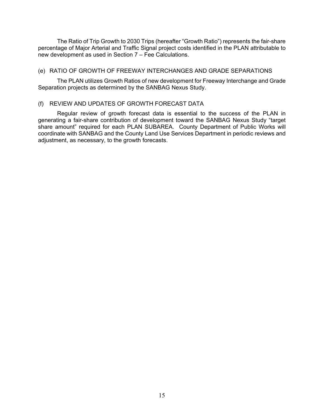The Ratio of Trip Growth to 2030 Trips (hereafter "Growth Ratio") represents the fair-share percentage of Major Arterial and Traffic Signal project costs identified in the PLAN attributable to new development as used in Section 7 – Fee Calculations.

#### (e) RATIO OF GROWTH OF FREEWAY INTERCHANGES AND GRADE SEPARATIONS

The PLAN utilizes Growth Ratios of new development for Freeway Interchange and Grade Separation projects as determined by the SANBAG Nexus Study.

#### (f) REVIEW AND UPDATES OF GROWTH FORECAST DATA

Regular review of growth forecast data is essential to the success of the PLAN in generating a fair-share contribution of development toward the SANBAG Nexus Study "target share amount" required for each PLAN SUBAREA. County Department of Public Works will coordinate with SANBAG and the County Land Use Services Department in periodic reviews and adjustment, as necessary, to the growth forecasts.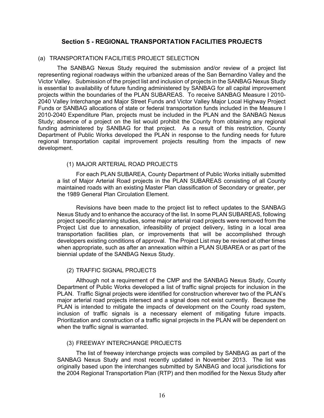#### **Section 5 - REGIONAL TRANSPORTATION FACILITIES PROJECTS**

#### (a) TRANSPORTATION FACILITIES PROJECT SELECTION

The SANBAG Nexus Study required the submission and/or review of a project list representing regional roadways within the urbanized areas of the San Bernardino Valley and the Victor Valley. Submission of the project list and inclusion of projects in the SANBAG Nexus Study is essential to availability of future funding administered by SANBAG for all capital improvement projects within the boundaries of the PLAN SUBAREAS. To receive SANBAG Measure I 2010- 2040 Valley Interchange and Major Street Funds and Victor Valley Major Local Highway Project Funds or SANBAG allocations of state or federal transportation funds included in the Measure I 2010-2040 Expenditure Plan, projects must be included in the PLAN and the SANBAG Nexus Study; absence of a project on the list would prohibit the County from obtaining any regional funding administered by SANBAG for that project. As a result of this restriction, County Department of Public Works developed the PLAN in response to the funding needs for future regional transportation capital improvement projects resulting from the impacts of new development.

#### (1) MAJOR ARTERIAL ROAD PROJECTS

For each PLAN SUBAREA, County Department of Public Works initially submitted a list of Major Arterial Road projects in the PLAN SUBAREAS consisting of all County maintained roads with an existing Master Plan classification of Secondary or greater, per the 1989 General Plan Circulation Element.

Revisions have been made to the project list to reflect updates to the SANBAG Nexus Study and to enhance the accuracy of the list. In some PLAN SUBAREAS, following project specific planning studies, some major arterial road projects were removed from the Project List due to annexation, infeasibility of project delivery, listing in a local area transportation facilities plan, or improvements that will be accomplished through developers existing conditions of approval. The Project List may be revised at other times when appropriate, such as after an annexation within a PLAN SUBAREA or as part of the biennial update of the SANBAG Nexus Study.

#### (2) TRAFFIC SIGNAL PROJECTS

Although not a requirement of the CMP and the SANBAG Nexus Study, County Department of Public Works developed a list of traffic signal projects for inclusion in the PLAN. Traffic Signal projects were identified for construction wherever two of the PLAN's major arterial road projects intersect and a signal does not exist currently. Because the PLAN is intended to mitigate the impacts of development on the County road system, inclusion of traffic signals is a necessary element of mitigating future impacts. Prioritization and construction of a traffic signal projects in the PLAN will be dependent on when the traffic signal is warranted.

#### (3) FREEWAY INTERCHANGE PROJECTS

The list of freeway interchange projects was compiled by SANBAG as part of the SANBAG Nexus Study and most recently updated in November 2013. The list was originally based upon the interchanges submitted by SANBAG and local jurisdictions for the 2004 Regional Transportation Plan (RTP) and then modified for the Nexus Study after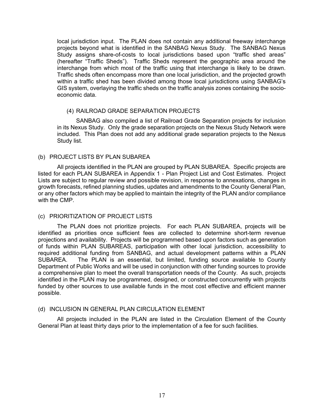local jurisdiction input. The PLAN does not contain any additional freeway interchange projects beyond what is identified in the SANBAG Nexus Study. The SANBAG Nexus Study assigns share-of-costs to local jurisdictions based upon "traffic shed areas" (hereafter "Traffic Sheds"). Traffic Sheds represent the geographic area around the interchange from which most of the traffic using that interchange is likely to be drawn. Traffic sheds often encompass more than one local jurisdiction, and the projected growth within a traffic shed has been divided among those local jurisdictions using SANBAG's GIS system, overlaying the traffic sheds on the traffic analysis zones containing the socioeconomic data.

#### (4) RAILROAD GRADE SEPARATION PROJECTS

SANBAG also compiled a list of Railroad Grade Separation projects for inclusion in its Nexus Study. Only the grade separation projects on the Nexus Study Network were included. This Plan does not add any additional grade separation projects to the Nexus Study list.

#### (b) PROJECT LISTS BY PLAN SUBAREA

All projects identified in the PLAN are grouped by PLAN SUBAREA. Specific projects are listed for each PLAN SUBAREA in Appendix 1 - Plan Project List and Cost Estimates. Project Lists are subject to regular review and possible revision, in response to annexations, changes in growth forecasts, refined planning studies, updates and amendments to the County General Plan, or any other factors which may be applied to maintain the integrity of the PLAN and/or compliance with the CMP.

#### (c) PRIORITIZATION OF PROJECT LISTS

The PLAN does not prioritize projects. For each PLAN SUBAREA, projects will be identified as priorities once sufficient fees are collected to determine short-term revenue projections and availability. Projects will be programmed based upon factors such as generation of funds within PLAN SUBAREAS, participation with other local jurisdiction, accessibility to required additional funding from SANBAG, and actual development patterns within a PLAN SUBAREA. The PLAN is an essential, but limited, funding source available to County Department of Public Works and will be used in conjunction with other funding sources to provide a comprehensive plan to meet the overall transportation needs of the County. As such, projects identified in the PLAN may be programmed, designed, or constructed concurrently with projects funded by other sources to use available funds in the most cost effective and efficient manner possible.

#### (d) INCLUSION IN GENERAL PLAN CIRCULATION ELEMENT

All projects included in the PLAN are listed in the Circulation Element of the County General Plan at least thirty days prior to the implementation of a fee for such facilities.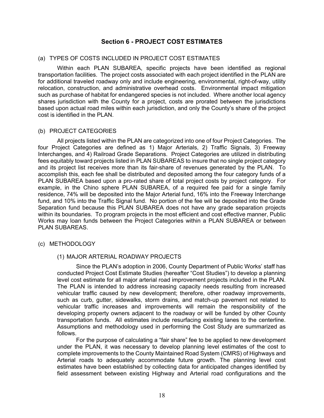#### **Section 6 - PROJECT COST ESTIMATES**

#### (a) TYPES OF COSTS INCLUDED IN PROJECT COST ESTIMATES

Within each PLAN SUBAREA, specific projects have been identified as regional transportation facilities. The project costs associated with each project identified in the PLAN are for additional traveled roadway only and include engineering, environmental, right-of-way, utility relocation, construction, and administrative overhead costs. Environmental impact mitigation such as purchase of habitat for endangered species is not included. Where another local agency shares jurisdiction with the County for a project, costs are prorated between the jurisdictions based upon actual road miles within each jurisdiction, and only the County's share of the project cost is identified in the PLAN.

#### (b) PROJECT CATEGORIES

All projects listed within the PLAN are categorized into one of four Project Categories. The four Project Categories are defined as 1) Major Arterials, 2) Traffic Signals, 3) Freeway Interchanges, and 4) Railroad Grade Separations. Project Categories are utilized in distributing fees equitably toward projects listed in PLAN SUBAREAS to insure that no single project category and its project list receives more than its fair-share of revenues generated by the PLAN. To accomplish this, each fee shall be distributed and deposited among the four category funds of a PLAN SUBAREA based upon a pro-rated share of total project costs by project category. For example, in the Chino sphere PLAN SUBAREA, of a required fee paid for a single family residence, 74% will be deposited into the Major Arterial fund, 16% into the Freeway Interchange fund, and 10% into the Traffic Signal fund. No portion of the fee will be deposited into the Grade Separation fund because this PLAN SUBAREA does not have any grade separation projects within its boundaries. To program projects in the most efficient and cost effective manner, Public Works may loan funds between the Project Categories within a PLAN SUBAREA or between PLAN SUBAREAS.

#### (c) METHODOLOGY

#### (1) MAJOR ARTERIAL ROADWAY PROJECTS

Since the PLAN's adoption in 2006, County Department of Public Works' staff has conducted Project Cost Estimate Studies (hereafter "Cost Studies") to develop a planning level cost estimate for all major arterial road improvement projects included in the PLAN. The PLAN is intended to address increasing capacity needs resulting from increased vehicular traffic caused by new development; therefore, other roadway improvements, such as curb, gutter, sidewalks, storm drains, and match-up pavement not related to vehicular traffic increases and improvements will remain the responsibility of the developing property owners adjacent to the roadway or will be funded by other County transportation funds. All estimates include resurfacing existing lanes to the centerline. Assumptions and methodology used in performing the Cost Study are summarized as follows.

For the purpose of calculating a "fair share" fee to be applied to new development under the PLAN, it was necessary to develop planning level estimates of the cost to complete improvements to the County Maintained Road System (CMRS) of Highways and Arterial roads to adequately accommodate future growth. The planning level cost estimates have been established by collecting data for anticipated changes identified by field assessment between existing Highway and Arterial road configurations and the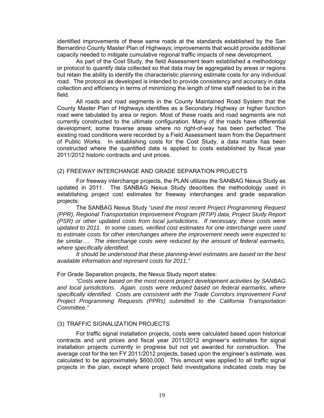identified improvements of these same roads at the standards established by the San Bernardino County Master Plan of Highways; improvements that would provide additional capacity needed to mitigate cumulative regional traffic impacts of new development.

As part of the Cost Study, the field Assessment team established a methodology or protocol to quantify data collected so that data may be aggregated by areas or regions but retain the ability to identify the characteristic planning estimate costs for any individual road. The protocol as developed is intended to provide consistency and accuracy in data collection and efficiency in terms of minimizing the length of time staff needed to be in the field.

All roads and road segments in the County Maintained Road System that the County Master Plan of Highways identifies as a Secondary Highway or higher function road were tabulated by area or region. Most of these roads and road segments are not currently constructed to the ultimate configuration. Many of the roads have differential development; some traverse areas where no right-of-way has been perfected. The existing road conditions were recorded by a Field Assessment team from the Department of Public Works. In establishing costs for the Cost Study, a data matrix has been constructed where the quantified data is applied to costs established by fiscal year 2011/2012 historic contracts and unit prices.

#### (2) FREEWAY INTERCHANGE AND GRADE SEPARATION PROJECTS

For freeway interchange projects, the PLAN utilizes the SANBAG Nexus Study as updated in 2011. The SANBAG Nexus Study describes the methodology used in establishing project cost estimates for freeway interchanges and grade separation projects:

The SANBAG Nexus Study *"used the most recent Project Programming Request (PPR), Regional Transportation Improvement Program (RTIP) data, Project Study Report (PSR) or other updated costs from local jurisdictions. If necessary, these costs were updated to 2011. In some cases, verified cost estimates for one interchange were used to estimate costs for other interchanges where the improvement needs were expected to be similar…. The interchange costs were reduced by the amount of federal earmarks, where specifically identified.* 

*It should be understood that these planning-level estimates are based on the best available information and represent costs for 2011."* 

#### For Grade Separation projects, the Nexus Study report states:

*"Costs were based on the most recent project development activities by SANBAG and local jurisdictions. Again, costs were reduced based on federal earmarks, where specifically identified. Costs are consistent with the Trade Corridors Improvement Fund Project Programming Requests (PPRs) submitted to the California Transportation Committee."* 

#### (3) TRAFFIC SIGNALIZATION PROJECTS

For traffic signal installation projects, costs were calculated based upon historical contracts and unit prices and fiscal year 2011/2012 engineer's estimates for signal installation projects currently in progress but not yet awarded for construction. The average cost for the ten FY 2011/2012 projects, based upon the engineer's estimate, was calculated to be approximately \$600,000. This amount was applied to all traffic signal projects in the plan, except where project field investigations indicated costs may be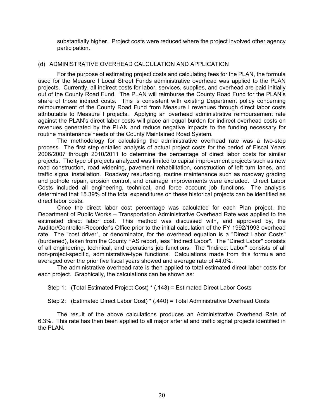substantially higher. Project costs were reduced where the project involved other agency participation.

#### (d) ADMINISTRATIVE OVERHEAD CALCULATION AND APPLICATION

For the purpose of estimating project costs and calculating fees for the PLAN, the formula used for the Measure I Local Street Funds administrative overhead was applied to the PLAN projects. Currently, all indirect costs for labor, services, supplies, and overhead are paid initially out of the County Road Fund. The PLAN will reimburse the County Road Fund for the PLAN's share of those indirect costs. This is consistent with existing Department policy concerning reimbursement of the County Road Fund from Measure I revenues through direct labor costs attributable to Measure I projects. Applying an overhead administrative reimbursement rate against the PLAN's direct labor costs will place an equal burden for indirect overhead costs on revenues generated by the PLAN and reduce negative impacts to the funding necessary for routine maintenance needs of the County Maintained Road System.

The methodology for calculating the administrative overhead rate was a two-step process. The first step entailed analysis of actual project costs for the period of Fiscal Years 2006/2007 through 2010/2011 to determine the percentage of direct labor costs for similar projects. The type of projects analyzed was limited to capital improvement projects such as new road construction, road widening, pavement rehabilitation, construction of left turn lanes, and traffic signal installation. Roadway resurfacing, routine maintenance such as roadway grading and pothole repair, erosion control, and drainage improvements were excluded. Direct Labor Costs included all engineering, technical, and force account job functions. The analysis determined that 15.39% of the total expenditures on these historical projects can be identified as direct labor costs.

Once the direct labor cost percentage was calculated for each Plan project, the Department of Public Works – Transportation Administrative Overhead Rate was applied to the estimated direct labor cost. This method was discussed with, and approved by, the Auditor/Controller-Recorder's Office prior to the initial calculation of the FY 1992/1993 overhead rate. The "cost driver", or denominator, for the overhead equation is a "Direct Labor Costs" (burdened), taken from the County FAS report, less "Indirect Labor". The "Direct Labor" consists of all engineering, technical, and operations job functions. The "Indirect Labor" consists of all non-project-specific, administrative-type functions. Calculations made from this formula and averaged over the prior five fiscal years showed and average rate of 44.0%.

The administrative overhead rate is then applied to total estimated direct labor costs for each project. Graphically, the calculations can be shown as:

Step 1: (Total Estimated Project Cost) \* (.143) = Estimated Direct Labor Costs

Step 2: (Estimated Direct Labor Cost) \* (.440) = Total Administrative Overhead Costs

The result of the above calculations produces an Administrative Overhead Rate of 6.3%. This rate has then been applied to all major arterial and traffic signal projects identified in the PLAN.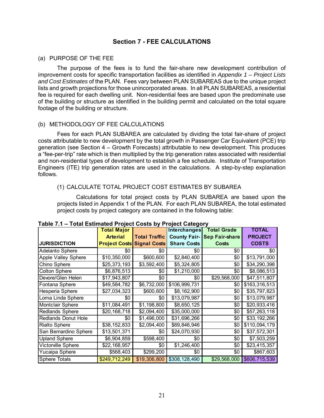#### **Section 7 - FEE CALCULATIONS**

#### (a) PURPOSE OF THE FEE

The purpose of the fees is to fund the fair-share new development contribution of improvement costs for specific transportation facilities as identified in *Appendix 1 – Project Lists and Cost Estimates* of the PLAN. Fees vary between PLAN SUBAREAS due to the unique project lists and growth projections for those unincorporated areas. In all PLAN SUBAREAS, a residential fee is required for each dwelling unit. Non-residential fees are based upon the predominate use of the building or structure as identified in the building permit and calculated on the total square footage of the building or structure.

#### (b) METHODOLOGY OF FEE CALCULATIONS

Fees for each PLAN SUBAREA are calculated by dividing the total fair-share of project costs attributable to new development by the total growth in Passenger Car Equivalent (PCE) trip generation (see Section 4 – Growth Forecasts) attributable to new development. This produces a "fee-per-trip" rate which is then multiplied by the trip generation rates associated with residential and non-residential types of development to establish a fee schedule. Institute of Transportation Engineers (ITE) trip generation rates are used in the calculations. A step-by-step explanation follows.

#### (1) CALCULATE TOTAL PROJECT COST ESTIMATES BY SUBAREA

Calculations for total project costs by PLAN SUBAREA are based upon the projects listed in Appendix 1 of the PLAN. For each PLAN SUBAREA, the total estimated project costs by project category are contained in the following table:

|                            | <b>Total Major</b>                |                      | <b>Interchanges</b> | <b>Total Grade</b>    | <b>TOTAL</b>   |
|----------------------------|-----------------------------------|----------------------|---------------------|-----------------------|----------------|
|                            | <b>Arterial</b>                   | <b>Total Traffic</b> | <b>County Fair-</b> | <b>Sep Fair-share</b> | <b>PROJECT</b> |
| <b>JURISDICTION</b>        | <b>Project Costs Signal Costs</b> |                      | <b>Share Costs</b>  | <b>Costs</b>          | <b>COSTS</b>   |
| Adelanto Sphere            | \$0                               | \$0                  | \$0                 | \$0                   | \$0            |
| Apple Valley Sphere        | \$10,350,000                      | \$600,600            | \$2,840,400         | \$0                   | \$13,791,000   |
| Chino Sphere               | \$25,373,193                      | \$3,592,400          | \$5,324,805         | \$0                   | \$34,290,398   |
| <b>Colton Sphere</b>       | \$6,876,513                       | \$0                  | \$1,210,000         | \$0                   | \$8,086,513    |
| Devore/Glen Helen          | \$17,943,807                      | \$0                  | \$0                 | \$29,568,000          | \$47,511,807   |
| Fontana Sphere             | \$49,584,782                      | \$6,732,000          | \$106,999,731       | \$0                   | \$163,316,513  |
| Hesperia Sphere            | \$27,034,323                      | \$600,600            | \$8,162,900         | \$0                   | \$35,797,823   |
| Loma Linda Sphere          | \$0                               | \$0                  | \$13,079,987        | \$0                   | \$13,079,987   |
| Montclair Sphere           | \$11,084,491                      | \$1,198,800          | \$8,650,125         | \$0                   | \$20,933,416   |
| Redlands Sphere            | \$20,168,718                      | \$2,094,400          | \$35,000,000        | \$0                   | \$57,263,118   |
| <b>Redlands Donut Hole</b> | \$0                               | \$1,496,000          | \$31,696,266        | \$0                   | \$33,192,266   |
| <b>Rialto Sphere</b>       | \$38,152,833                      | \$2,094,400          | \$69,846,946        | \$0                   | \$110,094,179  |
| San Bernardino Sphere      | \$13,501,371                      | \$0                  | \$24,070,930        | \$0                   | \$37,572,301   |
| <b>Upland Sphere</b>       | \$6,904,859                       | \$598,400            | \$0                 | \$0                   | \$7,503,259    |
| Victorville Sphere         | \$22,168,957                      | \$0                  | \$1,246,400         | \$0                   | \$23,415,357   |
| Yucaipa Sphere             | \$568,403                         | \$299,200            | \$0                 | \$0                   | \$867,603      |
| <b>Sphere Totals</b>       | \$249,712,249                     | \$19,306,800         | \$308,128,490       | \$29,568,000          | \$606,715,539  |

#### **Table 7.1 – Total Estimated Project Costs by Project Category**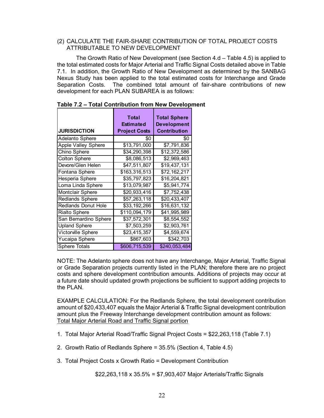#### (2) CALCULATE THE FAIR-SHARE CONTRIBUTION OF TOTAL PROJECT COSTS ATTRIBUTABLE TO NEW DEVELOPMENT

The Growth Ratio of New Development (see Section 4.d – Table 4.5) is applied to the total estimated costs for Major Arterial and Traffic Signal Costs detailed above in Table 7.1. In addition, the Growth Ratio of New Development as determined by the SANBAG Nexus Study has been applied to the total estimated costs for Interchange and Grade Separation Costs. The combined total amount of fair-share contributions of new development for each PLAN SUBAREA is as follows:

| <b>JURISDICTION</b>        | <b>Total</b><br><b>Estimated</b><br><b>Project Costs</b> | <b>Total Sphere</b><br><b>Development</b><br><b>Contribution</b> |
|----------------------------|----------------------------------------------------------|------------------------------------------------------------------|
| <b>Adelanto Sphere</b>     | \$0                                                      | \$0                                                              |
| <b>Apple Valley Sphere</b> | \$13,791,000                                             | \$7,791,836                                                      |
| Chino Sphere               | \$34,290,398                                             | \$12,372,586                                                     |
| <b>Colton Sphere</b>       | \$8,086,513                                              | \$2,969,463                                                      |
| Devore/Glen Helen          | \$47,511,807                                             | \$19,437,131                                                     |
| Fontana Sphere             | \$163,316,513                                            | \$72,162,217                                                     |
| Hesperia Sphere            | \$35,797,823                                             | \$16,204,821                                                     |
| Loma Linda Sphere          | \$13,079,987                                             | \$5,941,774                                                      |
| <b>Montclair Sphere</b>    | \$20,933,416                                             | \$7,752,438                                                      |
| <b>Redlands Sphere</b>     | \$57,263,118                                             | \$20,433,407                                                     |
| <b>Redlands Donut Hole</b> | \$33,192,266                                             | \$16,631,132                                                     |
| <b>Rialto Sphere</b>       | \$110,094,179                                            | \$41,995,989                                                     |
| San Bernardino Sphere      | \$37,572,301                                             | \$8,554,552                                                      |
| <b>Upland Sphere</b>       | \$7,503,259                                              | \$2,903,761                                                      |
| Victorville Sphere         | \$23,415,357                                             | \$4,559,674                                                      |
| Yucaipa Sphere             | \$867,603                                                | \$342,703                                                        |
| <b>Sphere Totals</b>       | \$606,715,539                                            | \$240,053,484                                                    |

| Table 7.2 – Total Contribution from New Development |  |
|-----------------------------------------------------|--|
|                                                     |  |

NOTE: The Adelanto sphere does not have any Interchange, Major Arterial, Traffic Signal or Grade Separation projects currently listed in the PLAN; therefore there are no project costs and sphere development contribution amounts. Additions of projects may occur at a future date should updated growth projections be sufficient to support adding projects to the PI AN

EXAMPLE CALCULATION: For the Redlands Sphere, the total development contribution amount of \$20,433,407 equals the Major Arterial & Traffic Signal development contribution amount plus the Freeway Interchange development contribution amount as follows: Total Major Arterial Road and Traffic Signal portion

- 1. Total Major Arterial Road/Traffic Signal Project Costs = \$22,263,118 (Table 7.1)
- 2. Growth Ratio of Redlands Sphere = 35.5% (Section 4, Table 4.5)
- 3. Total Project Costs x Growth Ratio = Development Contribution

\$22,263,118 x 35.5% = \$7,903,407 Major Arterials/Traffic Signals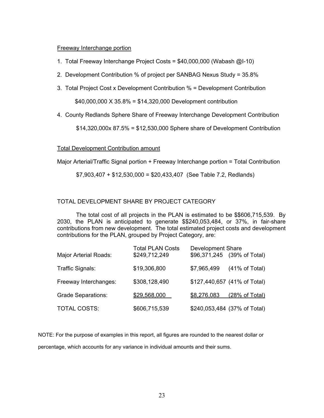#### Freeway Interchange portion

- 1. Total Freeway Interchange Project Costs = \$40,000,000 (Wabash @I-10)
- 2. Development Contribution % of project per SANBAG Nexus Study = 35.8%
- 3. Total Project Cost x Development Contribution % = Development Contribution

\$40,000,000 X 35.8% = \$14,320,000 Development contribution

4. County Redlands Sphere Share of Freeway Interchange Development Contribution

\$14,320,000x 87.5% = \$12,530,000 Sphere share of Development Contribution

#### Total Development Contribution amount

Major Arterial/Traffic Signal portion + Freeway Interchange portion = Total Contribution

\$7,903,407 + \$12,530,000 = \$20,433,407 (See Table 7.2, Redlands)

#### TOTAL DEVELOPMENT SHARE BY PROJECT CATEGORY

The total cost of all projects in the PLAN is estimated to be \$\$606,715,539. By 2030, the PLAN is anticipated to generate \$\$240,053,484, or 37%, in fair-share contributions from new development. The total estimated project costs and development contributions for the PLAN, grouped by Project Category, are:

|                              | <b>Total PLAN Costs</b> | <b>Development Share</b> |                              |
|------------------------------|-------------------------|--------------------------|------------------------------|
| <b>Major Arterial Roads:</b> | \$249,712,249           |                          | \$96,371,245 (39% of Total)  |
| Traffic Signals:             | \$19,306,800            | \$7,965,499              | (41% of Total)               |
| Freeway Interchanges:        | \$308,128,490           |                          | \$127,440,657 (41% of Total) |
| <b>Grade Separations:</b>    | \$29,568,000            | \$8,276,083              | (28% of Total)               |
| TOTAL COSTS:                 | \$606,715,539           |                          | \$240,053,484 (37% of Total) |

NOTE: For the purpose of examples in this report, all figures are rounded to the nearest dollar or percentage, which accounts for any variance in individual amounts and their sums.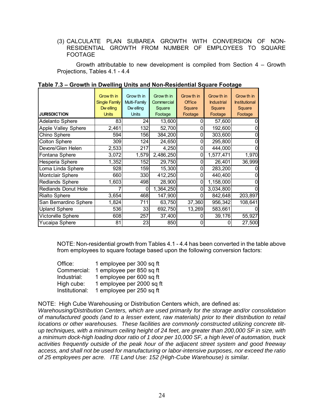(3) CALCULATE PLAN SUBAREA GROWTH WITH CONVERSION OF NON-RESIDENTIAL GROWTH FROM NUMBER OF EMPLOYEES TO SQUARE FOOTAGE

Growth attributable to new development is compiled from Section 4 – Growth Projections, Tables 4.1 - 4.4

|                            | Grow th in<br><b>Single Family</b><br>Dw elling | Grow th in<br>Multi-Family<br>Dw elling | Grow th in<br>Commercial<br>Square | Grow th in<br><b>Office</b><br>Square | Grow th in<br><b>Industrial</b><br>Square | Grow th in<br><b>Institutional</b><br>Square |
|----------------------------|-------------------------------------------------|-----------------------------------------|------------------------------------|---------------------------------------|-------------------------------------------|----------------------------------------------|
| <b>JURISDICTION</b>        | <b>Units</b>                                    | <b>Units</b>                            | Footage                            | Footage                               | Footage                                   | Footage                                      |
| Adelanto Sphere            | 83                                              | 24                                      | 13,600                             |                                       | 57,600                                    |                                              |
| <b>Apple Valley Sphere</b> | 2,461                                           | 132                                     | 52,700                             |                                       | 192,600                                   |                                              |
| Chino Sphere               | 594                                             | 156                                     | 384,200                            | 0                                     | 303,600                                   |                                              |
| <b>Colton Sphere</b>       | 309                                             | 124                                     | 24,650                             |                                       | 295,800                                   |                                              |
| Devore/Glen Helen          | 2,533                                           | 217                                     | 4,250                              |                                       | 444,000                                   |                                              |
| Fontana Sphere             | 3,072                                           | 1,579                                   | 2,486,250                          |                                       | 1,577,471                                 | 1,970                                        |
| Hesperia Sphere            | 1,352                                           | 152                                     | 29,750                             |                                       | 26,401                                    | 36,999                                       |
| Loma Linda Sphere          | 928                                             | 159                                     | 15,300                             | 0                                     | 283,200                                   |                                              |
| Montclair Sphere           | 660                                             | 330                                     | 412,250                            | O                                     | 440,400                                   |                                              |
| <b>Redlands Sphere</b>     | 1,603                                           | 498                                     | 28,900                             | 0                                     | 1,158,000                                 |                                              |
| <b>Redlands Donut Hole</b> |                                                 | 0                                       | 1,364,250                          |                                       | 3,034,800                                 |                                              |
| <b>Rialto Sphere</b>       | 3,654                                           | 468                                     | 147,900                            |                                       | 842,648                                   | 203,897                                      |
| San Bernardino Sphere      | 1,824                                           | 711                                     | 63,750                             | 37,360                                | 956,342                                   | 108,641                                      |
| <b>Upland Sphere</b>       | 536                                             | 33                                      | 692,750                            | 13,269                                | 583,661                                   |                                              |
| Victorville Sphere         | 608                                             | 257                                     | 37,400                             |                                       | 39,176                                    | 55,927                                       |
| Yucaipa Sphere             | 81                                              | 23                                      | 850                                | O                                     | 0                                         | 27,500                                       |

|  |  |  | Table 7.3 – Growth in Dwelling Units and Non-Residential Square Footage |  |  |
|--|--|--|-------------------------------------------------------------------------|--|--|
|--|--|--|-------------------------------------------------------------------------|--|--|

NOTE: Non-residential growth from Tables 4.1 - 4.4 has been converted in the table above from employees to square footage based upon the following conversion factors:

| Office:        | 1 employee per 300 sq ft  |
|----------------|---------------------------|
| Commercial:    | 1 employee per 850 sq ft  |
| Industrial:    | 1 employee per 600 sq ft  |
| High cube:     | 1 employee per 2000 sq ft |
| Institutional: | 1 employee per 250 sq ft  |

NOTE: High Cube Warehousing or Distribution Centers which, are defined as:

*Warehousing/Distribution Centers, which are used primarily for the storage and/or consolidation of manufactured goods (and to a lesser extent, raw materials) prior to their distribution to retail locations or other warehouses. These facilities are commonly constructed utilizing concrete tiltup techniques, with a minimum ceiling height of 24 feet, are greater than 200,000 SF in size, with a minimum dock-high loading door ratio of 1 door per 10,000 SF, a high level of automation, truck activities frequently outside of the peak hour of the adjacent street system and good freeway access, and shall not be used for manufacturing or labor-intensive purposes, nor exceed the ratio of 25 employees per acre. ITE Land Use: 152 (High-Cube Warehouse) is similar.*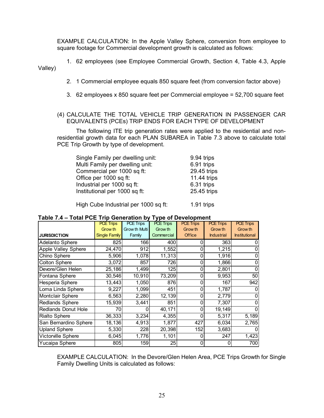EXAMPLE CALCULATION: In the Apple Valley Sphere, conversion from employee to square footage for Commercial development growth is calculated as follows:

1. 62 employees (see Employee Commercial Growth, Section 4, Table 4.3, Apple Valley)

- 2. 1 Commercial employee equals 850 square feet (from conversion factor above)
- 3. 62 employees x 850 square feet per Commercial employee = 52,700 square feet

#### (4) CALCULATE THE TOTAL VEHICLE TRIP GENERATION IN PASSENGER CAR EQUIVALENTS (PCEs) TRIP ENDS FOR EACH TYPE OF DEVELOPMENT

The following ITE trip generation rates were applied to the residential and nonresidential growth data for each PLAN SUBAREA in Table 7.3 above to calculate total PCE Trip Growth by type of development.

| Single Family per dwelling unit: | 9.94 trips  |
|----------------------------------|-------------|
| Multi Family per dwelling unit:  | 6.91 trips  |
| Commercial per 1000 sq ft:       | 29.45 trips |
| Office per 1000 sq ft:           | 11.44 trips |
| Industrial per 1000 sq ft:       | 6.31 trips  |
| Institutional per 1000 sq ft:    | 25.45 trips |
|                                  |             |

High Cube Industrial per 1000 sq ft: 1.91 trips

|                        |                      |                  | J 1 -            |                  |                   |                      |
|------------------------|----------------------|------------------|------------------|------------------|-------------------|----------------------|
|                        | <b>PCE Trips</b>     | <b>PCE Trips</b> | <b>PCE Trips</b> | <b>PCE Trips</b> | <b>PCE Trips</b>  | <b>PCE Trips</b>     |
|                        | Grow th              | Grow th Multi    | Grow th          | Grow th          | Grow th           | Grow th              |
| <b>JURISDICTION</b>    | <b>Single Family</b> | Family           | Commercial       | <b>Office</b>    | <b>Industrial</b> | <b>Institutional</b> |
| Adelanto Sphere        | 825                  | 166              | 400              |                  | 363               |                      |
| Apple Valley Sphere    | 24,470               | 912              | 1,552            |                  | 1,215             |                      |
| Chino Sphere           | 5,906                | 1,078            | 11,313           |                  | 1,916             |                      |
| <b>Colton Sphere</b>   | 3,072                | 857              | 7261             |                  | 1,866             |                      |
| Devore/Glen Helen      | 25,186               | 1,499            | 125              | O                | 2,801             |                      |
| Fontana Sphere         | 30,546               | 10,910           | 73,209           |                  | 9,953             | 50                   |
| Hesperia Sphere        | 13,443               | 1,050            | 876              |                  | 167               | 942                  |
| Loma Linda Sphere      | 9,227                | 1,099            | 451              |                  | 1,787             |                      |
| Montclair Sphere       | 6,563                | 2,280            | 12,139           |                  | 2,779             |                      |
| <b>Redlands Sphere</b> | 15,939               | 3,441            | 851              |                  | 7,307             |                      |
| Redlands Donut Hole    | 70                   |                  | 40,171           |                  | 19,149            |                      |
| <b>Rialto Sphere</b>   | 36,333               | 3,234            | 4,355            |                  | 5,317             | 5,189                |
| San Bernardino Sphere  | 18,136               | 4,913            | 1,877            | 427              | 6,034             | 2,765                |
| <b>Upland Sphere</b>   | 5,330                | 228              | 20,398           | 152              | 3,683             |                      |
| Victorville Sphere     | 6,045                | 1,776            | 1,101            |                  | 247               | 1,423                |
| Yucaipa Sphere         | 805                  | 159              | 25               |                  | 0                 | 700                  |

| Table 7.4 - Total PCE Trip Generation by Type of Development |
|--------------------------------------------------------------|
|--------------------------------------------------------------|

EXAMPLE CALCULATION: In the Devore/Glen Helen Area, PCE Trips Growth for Single Family Dwelling Units is calculated as follows: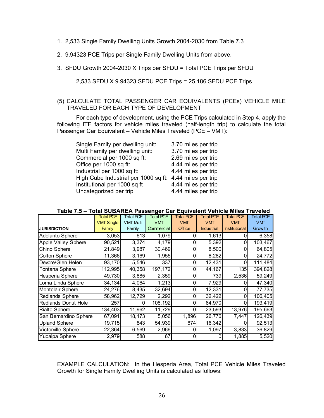- 1. 2,533 Single Family Dwelling Units Growth 2004-2030 from Table 7.3
- 2. 9.94323 PCE Trips per Single Family Dwelling Units from above.
- 3. SFDU Growth 2004-2030 X Trips per SFDU = Total PCE Trips per SFDU

#### 2,533 SFDU X 9.94323 SFDU PCE Trips = 25,186 SFDU PCE Trips

#### (5) CALCULATE TOTAL PASSENGER CAR EQUIVALENTS (PCEs) VEHICLE MILE TRAVELED FOR EACH TYPE OF DEVELOPMENT

For each type of development, using the PCE Trips calculated in Step 4, apply the following ITE factors for vehicle miles traveled (half-length trip) to calculate the total Passenger Car Equivalent – Vehicle Miles Traveled (PCE – VMT):

Single Family per dwelling unit: 3.70 miles per trip Multi Family per dwelling unit: 3.70 miles per trip Commercial per 1000 sq ft: 2.69 miles per trip Office per 1000 sq ft: 4.44 miles per trip Industrial per 1000 sq ft: 4.44 miles per trip High Cube Industrial per 1000 sq ft: 4.44 miles per trip Institutional per 1000 sq  $ft$  4.44 miles per trip Uncategorized per trip 4.44 miles per trip

|                            | <b>Total PCE</b>  | <b>Total PCE</b> | <b>Total PCE</b> | <b>Total PCE</b> | <b>Total PCE</b>  | <b>Total PCE</b>     | <b>Total PCE</b> |
|----------------------------|-------------------|------------------|------------------|------------------|-------------------|----------------------|------------------|
|                            | <b>VMT Single</b> | <b>VMT Multi</b> | <b>VMT</b>       | <b>VMT</b>       | <b>VMT</b>        | <b>VMT</b>           | <b>VMT</b>       |
| <b>JURISDICTION</b>        | Family            | Family           | Commercial       | <b>Office</b>    | <b>Industrial</b> | <b>Institutional</b> | Grow th          |
| Adelanto Sphere            | 3,053             | 613              | 1,079            |                  | 1,613             |                      | 6,358            |
| Apple Valley Sphere        | 90,521            | 3,374            | 4,179            |                  | 5,392             | 0                    | 103,467          |
| Chino Sphere               | 21,849            | 3,987            | 30,469           | 0                | 8,500             | 0                    | 64,805           |
| Colton Sphere              | 11,366            | 3,169            | 1,955            | 0                | 8,282             | 0                    | 24,772           |
| Devore/Glen Helen          | 93,170            | 5,546            | 337              | 0                | 12,431            | 0                    | 111,484          |
| Fontana Sphere             | 112,995           | 40,358           | 197,172          | 0                | 44,167            | 135l                 | 394,828          |
| Hesperia Sphere            | 49,730            | 3,885            | 2,359            | 0                | 739               | 2,536                | 59,249           |
| Loma Linda Sphere          | 34,134            | 4,064            | 1,213            | 0                | 7,929             |                      | 47,340           |
| Montclair Sphere           | 24,276            | 8,435            | 32,694           | 0                | 12,331            | 0                    | 77,735           |
| <b>Redlands Sphere</b>     | 58,962            | 12,729           | 2,292            | 0                | 32,422            | 0                    | 106,405          |
| <b>Redlands Donut Hole</b> | 257               | 0                | 108,192          | 0                | 84,970            | 0                    | 193,419          |
| <b>Rialto Sphere</b>       | 134,403           | 11,962           | 11,729           | 0                | 23,593            | 13,976               | 195,663          |
| San Bernardino Sphere      | 67,091            | 18,173           | 5,056            | 1,896            | 26,776            | 7,447                | 126,439          |
| <b>Upland Sphere</b>       | 19,715            | 843              | 54,939           | 674              | 16,342            | 0                    | 92,513           |
| Victorville Sphere         | 22,364            | 6,569            | 2,966            | 0                | 1,097             | 3,833                | 36,829           |
| Yucaipa Sphere             | 2,979             | 588              | 67               | 0                |                   | 1,885                | 5,520            |

#### **Table 7.5 – Total SUBAREA Passenger Car Equivalent Vehicle Miles Traveled**

EXAMPLE CALCULATION: In the Hesperia Area, Total PCE Vehicle Miles Traveled Growth for Single Family Dwelling Units is calculated as follows: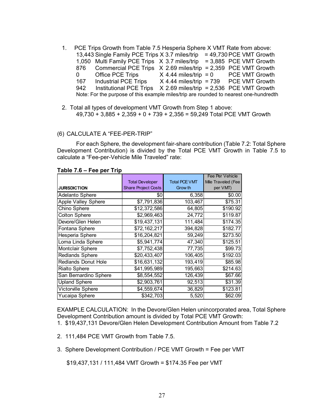- 1. PCE Trips Growth from Table 7.5 Hesperia Sphere X VMT Rate from above: 13,443 Single Family PCE Trips X 3.7 miles/trip = 49,730 PCE VMT Growth 1,050 Multi Family PCE Trips  $X$  3.7 miles/trip = 3,885 PCE VMT Growth 876 Commercial PCE Trips X 2.69 miles/trip = 2,359 PCE VMT Growth 0 Office PCE Trips X 4.44 miles/trip = 0 PCE VMT Growth 167 Industrial PCE Trips X 4.44 miles/trip = 739 PCE VMT Growth 942 Institutional PCE Trips X 2.69 miles/trip = 2,536 PCE VMT Growth Note: For the purpose of this example miles/trip are rounded to nearest one-hundredth
- 2. Total all types of development VMT Growth from Step 1 above: 49,730 + 3,885 + 2,359 + 0 + 739 + 2,356 = 59,249 Total PCE VMT Growth

#### (6) CALCULATE A "FEE-PER-TRIP"

For each Sphere, the development fair-share contribution (Table 7.2: Total Sphere Development Contribution) is divided by the Total PCE VMT Growth in Table 7.5 to calculate a "Fee-per-Vehicle Mile Traveled" rate:

|                            |                            |                      | Fee Per Vehicle    |  |
|----------------------------|----------------------------|----------------------|--------------------|--|
|                            | <b>Total Developer</b>     | <b>Total PCE VMT</b> | Mile Traveled (Fee |  |
| <b>JURISDICTION</b>        | <b>Share Project Costs</b> | Grow th              | per VMT)           |  |
| Adelanto Sphere            | \$0                        | 6,358                | \$0.00             |  |
| <b>Apple Valley Sphere</b> | \$7,791,836                | 103,467              | \$75.31            |  |
| Chino Sphere               | \$12,372,586               | 64,805               | \$190.92           |  |
| <b>Colton Sphere</b>       | \$2,969,463                | 24,772               | \$119.87           |  |
| Devore/Glen Helen          | \$19,437,131               | 111,484              | \$174.35           |  |
| Fontana Sphere             | \$72,162,217               | 394,828              | \$182.77           |  |
| Hesperia Sphere            | \$16,204,821               | 59,249               | \$273.50           |  |
| Loma Linda Sphere          | \$5,941,774                | 47,340               | \$125.51           |  |
| Montclair Sphere           | \$7,752,438                | 77,735               | \$99.73            |  |
| Redlands Sphere            | \$20,433,407               | 106,405              | \$192.03           |  |
| <b>Redlands Donut Hole</b> | \$16,631,132               | 193,419              | \$85.98            |  |
| <b>Rialto Sphere</b>       | \$41,995,989               | 195,663              | \$214.63           |  |
| San Bernardino Sphere      | \$8,554,552                | 126,439              | \$67.66            |  |
| <b>Upland Sphere</b>       | \$2,903,761                | 92,513               | \$31.39            |  |
| Victorville Sphere         | \$4,559,674                | 36,829               | \$123.81           |  |
| Yucaipa Sphere             | \$342,703                  | 5,520                | \$62.09            |  |

#### **Table 7.6 – Fee per Trip**

EXAMPLE CALCULATION: In the Devore/Glen Helen unincorporated area, Total Sphere Development Contribution amount is divided by Total PCE VMT Growth:

- 1. \$19,437,131 Devore/Glen Helen Development Contribution Amount from Table 7.2
- 2. 111,484 PCE VMT Growth from Table 7.5.
- 3. Sphere Development Contribution / PCE VMT Growth = Fee per VMT

\$19,437,131 / 111,484 VMT Growth = \$174.35 Fee per VMT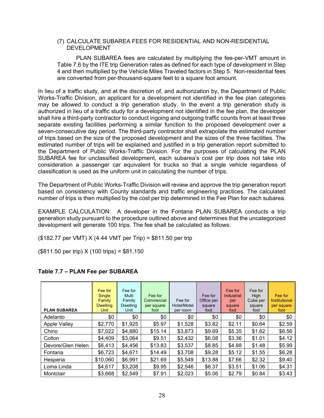#### (7) CALCULATE SUBAREA FEES FOR RESIDENTIAL AND NON-RESIDENTIAL DEVELOPMENT

PLAN SUBAREA fees are calculated by multiplying the fee-per-VMT amount in Table 7.6 by the ITE trip Generation rates as defined for each type of development in Step 4 and then multiplied by the Vehicle Miles Traveled factors in Step 5. Non-residential fees are converted from per-thousand-square feet to a square foot amount.

In lieu of a traffic study, and at the discretion of, and authorization by, the Department of Public Works-Traffic Division, an applicant for a development not identified in the fee plan categories may be allowed to conduct a trip generation study. In the event a trip generation study is authorized in lieu of a traffic study for a development not identified in the fee plan, the developer shall hire a third-party contractor to conduct ingoing and outgoing traffic counts from at least three separate existing facilities performing a similar function to the proposed development over a seven-consecutive day period. The third-party contractor shall extrapolate the estimated number of trips based on the size of the proposed development and the sizes of the three facilities. The estimated number of trips will be explained and justified in a trip generation report submitted to the Department of Public Works-Traffic Division. For the purposes of calculating the PLAN SUBAREA fee for unclassified development, each subarea's cost per trip does not take into consideration a passenger car equivalent for trucks so that a single vehicle regardless of classification is used as the uniform unit in calculating the number of trips.

The Department of Public Works-Traffic Division will review and approve the trip generation report based on consistency with County standards and traffic engineering practices. The calculated number of trips is then multiplied by the cost per trip determined in the Fee Plan for each subarea.

 EXAMPLE CALCULATION: A developer in the Fontana PLAN SUBAREA conducts a trip generation study pursuant to the procedure outlined above and determines that the uncategorized development will generate 100 trips. The fee shall be calculated as follows:

(\$182.77 per VMT) X (4.44 VMT per Trip) = \$811.50 per trip

(\$811.50 per trip) X (100 trips) = \$81,150

| <b>PLAN SUBAREA</b> | Fee for<br>Single<br>Family<br><b>Dwelling</b><br>Unit | Fee for<br>Multi<br>Family<br><b>Dwelling</b><br>Unit | Fee for<br>Commercial<br>per square<br>foot | Fee for<br>Hotel/Motel<br>per room | Fee for<br>Office per<br>square<br>foot | Fee for<br><b>Industrial</b><br>per<br>square<br>foot | Fee for<br>High<br>Cube per<br>square<br>foot | Fee for<br><b>Institutional</b><br>per square<br>foot |
|---------------------|--------------------------------------------------------|-------------------------------------------------------|---------------------------------------------|------------------------------------|-----------------------------------------|-------------------------------------------------------|-----------------------------------------------|-------------------------------------------------------|
| Adelanto            | \$0                                                    | \$0                                                   | \$0                                         | \$0                                | \$0                                     | \$0                                                   | \$0                                           | \$0                                                   |
| <b>Apple Valley</b> | \$2,770                                                | \$1,925                                               | \$5.97                                      | \$1,528                            | \$3.82                                  | \$2.11                                                | \$0.64                                        | \$2.59                                                |
| Chino               | \$7,022                                                | \$4,880                                               | \$15.14                                     | \$3,873                            | \$9.69                                  | \$5.35                                                | \$1.62                                        | \$6.56                                                |
| Colton              | \$4,409                                                | \$3,064                                               | \$9.51                                      | \$2,432                            | \$6.08                                  | \$3.36                                                | \$1.01                                        | \$4.12                                                |
| Devore/Glen Helen   | \$6,413                                                | \$4,456                                               | \$13.83                                     | \$3,537                            | \$8.85                                  | \$4.88                                                | \$1.48                                        | \$5.99                                                |
| Fontana             | \$6,723                                                | \$4,671                                               | \$14.49                                     | \$3,708                            | \$9.28                                  | \$5.12                                                | \$1.55                                        | \$6.28                                                |
| Hesperia            | \$10,060                                               | \$6,991                                               | \$21.69                                     | \$5,549                            | \$13.88                                 | \$7.66                                                | \$2.32                                        | \$9.40                                                |
| Loma Linda          | \$4,617                                                | \$3,208                                               | \$9.95                                      | \$2,546                            | \$6.37                                  | \$3.51                                                | \$1.06                                        | \$4.31                                                |
| Montclair           | \$3,668                                                | \$2,549                                               | \$7.91                                      | \$2,023                            | \$5.06                                  | \$2.79                                                | \$0.84                                        | \$3.43                                                |

#### **Table 7.7 – PLAN Fee per SUBAREA**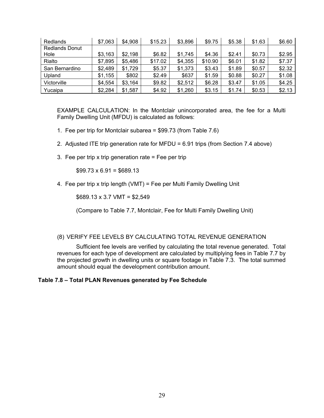| Redlands              | \$7,063 | \$4,908 | \$15.23 | \$3,896 | \$9.75  | \$5.38 | \$1.63 | \$6.60 |
|-----------------------|---------|---------|---------|---------|---------|--------|--------|--------|
| <b>Redlands Donut</b> |         |         |         |         |         |        |        |        |
| Hole                  | \$3,163 | \$2,198 | \$6.82  | \$1,745 | \$4.36  | \$2.41 | \$0.73 | \$2.95 |
| Rialto                | \$7,895 | \$5,486 | \$17.02 | \$4,355 | \$10.90 | \$6.01 | \$1.82 | \$7.37 |
| San Bernardino        | \$2,489 | \$1,729 | \$5.37  | \$1,373 | \$3.43  | \$1.89 | \$0.57 | \$2.32 |
| Upland                | \$1,155 | \$802   | \$2.49  | \$637   | \$1.59  | \$0.88 | \$0.27 | \$1.08 |
| Victorville           | \$4,554 | \$3,164 | \$9.82  | \$2,512 | \$6.28  | \$3.47 | \$1.05 | \$4.25 |
| Yucaipa               | \$2,284 | \$1,587 | \$4.92  | \$1,260 | \$3.15  | \$1.74 | \$0.53 | \$2.13 |

EXAMPLE CALCULATION: In the Montclair unincorporated area, the fee for a Multi Family Dwelling Unit (MFDU) is calculated as follows:

- 1. Fee per trip for Montclair subarea = \$99.73 (from Table 7.6)
- 2. Adjusted ITE trip generation rate for MFDU = 6.91 trips (from Section 7.4 above)
- 3. Fee per trip x trip generation rate  $=$  Fee per trip

 $$99.73 \times 6.91 = $689.13$ 

4. Fee per trip x trip length (VMT) = Fee per Multi Family Dwelling Unit

 $$689.13 \times 3.7 \text{ VMT} = $2,549$ 

(Compare to Table 7.7, Montclair, Fee for Multi Family Dwelling Unit)

#### (8) VERIFY FEE LEVELS BY CALCULATING TOTAL REVENUE GENERATION

Sufficient fee levels are verified by calculating the total revenue generated. Total revenues for each type of development are calculated by multiplying fees in Table 7.7 by the projected growth in dwelling units or square footage in Table 7.3. The total summed amount should equal the development contribution amount.

#### **Table 7.8 – Total PLAN Revenues generated by Fee Schedule**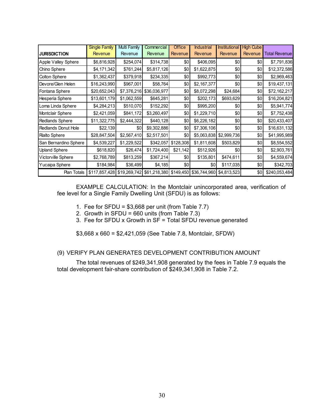|                       | <b>Single Family</b>                                           | <b>Multi Family</b> | Commercial   | <b>Office</b> | <b>Industrial</b> | <b>Institutional</b> | <b>High Cube</b> |                      |
|-----------------------|----------------------------------------------------------------|---------------------|--------------|---------------|-------------------|----------------------|------------------|----------------------|
| <b>JURISDICTION</b>   | <b>Revenue</b>                                                 | Revenue             | Revenue      | Revenue       | Revenue           | Revenue              | Revenue          | <b>Total Revenue</b> |
| Apple Valley Sphere   | \$6,816,928                                                    | \$254,074           | \$314,738    | 0             | \$406,095         | \$0                  | \$0              | \$7,791,836          |
| Chino Sphere          | \$4,171,342                                                    | \$761,244           | \$5,817,126  | \$0           | \$1,622,875       | \$0                  | \$0              | \$12,372,586         |
| Colton Sphere         | \$1,362,437                                                    | \$379,918           | \$234,335    | \$0           | \$992,773         | \$0                  | \$0              | \$2,969,463          |
| Devore/Glen Helen     | \$16,243,990                                                   | \$967,001           | \$58,764     | \$0           | \$2,167,377       | \$0                  | \$0              | \$19,437,131         |
| Fontana Sphere        | \$20,652,043                                                   | \$7,376,216         | \$36,036,977 | \$0           | \$8,072,298       | \$24,684             | \$0              | \$72,162,217         |
| Hesperia Sphere       | \$13,601,179                                                   | \$1,062,559         | \$645,281    | \$0           | \$202,173         | \$693,629            | \$0              | \$16,204,821         |
| Loma Linda Sphere     | \$4,284,213                                                    | \$510,070           | \$152,292    | \$0           | \$995,200         | \$0                  | \$0              | \$5,941,774          |
| Montclair Sphere      | \$2,421,059                                                    | \$841,172           | \$3,260,497  | \$0           | \$1,229,710       | \$0                  | \$0              | \$7,752,438          |
| Redlands Sphere       | \$11,322,775                                                   | \$2,444,322         | \$440,128    | \$0           | \$6,226,182       | \$0                  | \$0              | \$20,433,407         |
| Redlands Donut Hole   | \$22,139                                                       | \$0                 | \$9,302,886  | \$0           | \$7,306,106       | \$0                  | \$0              | \$16,631,132         |
| <b>Rialto Sphere</b>  | \$28,847,504                                                   | \$2,567,410         | \$2,517,501  | \$0           | \$5,063,838       | \$2,999,736          | \$0              | \$41,995,989         |
| San Bernardino Sphere | \$4,539,227                                                    | \$1,229,522         | \$342,057    | \$128,308     | \$1,811,608       | \$503,829            | \$0              | \$8,554,552          |
| <b>Upland Sphere</b>  | \$618,820                                                      | \$26,474            | \$1,724,400  | \$21,142      | \$512,926         | \$0                  | \$0              | \$2,903,761          |
| Victorville Sphere    | \$2,768,789                                                    | \$813,259           | \$367,214    | \$0           | \$135,801         | \$474,611            | \$0              | \$4,559,674          |
| Yucaipa Sphere        | \$184,984                                                      | \$36,499            | \$4,185      | \$0           | \$0               | \$117,035            | \$0              | \$342,703            |
| Plan Totals           | \$117,857,428 \$19,269,742 \$61,218,380 \$149,450 \$36,744,960 |                     |              |               |                   | \$4,813,523          | \$0              | \$240,053,484        |

EXAMPLE CALCULATION: In the Montclair unincorporated area, verification of fee level for a Single Family Dwelling Unit (SFDU) is as follows:

- 1. Fee for SFDU =  $$3,668$  per unit (from Table 7.7)
- 2. Growth in SFDU =  $660$  units (from Table 7.3)
- 3. Fee for SFDU x Growth in  $SF = Total SFDU$  revenue generated

\$3,668 x 660 = \$2,421,059 (See Table 7.8, Montclair, SFDW)

#### (9) VERIFY PLAN GENERATES DEVELOPMENT CONTRIBUTION AMOUNT

The total revenues of \$249,341,908 generated by the fees in Table 7.9 equals the total development fair-share contribution of \$249,341,908 in Table 7.2.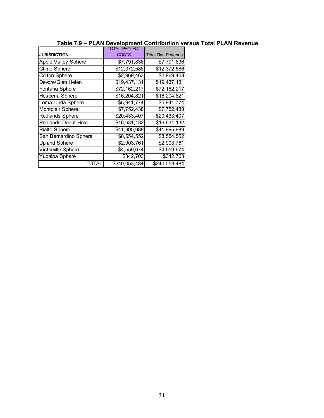|                            | TOTAL PROJECT              |                           |
|----------------------------|----------------------------|---------------------------|
| <b>JURISDICTION</b>        | <b>COSTS</b>               | <b>Total Plan Revenue</b> |
| Apple Valley Sphere        | \$7,791,836                | \$7,791,836               |
| Chino Sphere               | \$12,372,586               | \$12,372,586              |
| <b>Colton Sphere</b>       | \$2,969,463                | \$2,969,463               |
| Devore/Glen Helen          | \$19,437,131               | \$19,437,131              |
| Fontana Sphere             | \$72,162,217               | \$72,162,217              |
| Hesperia Sphere            | \$16,204,821               | \$16,204,821              |
| Loma Linda Sphere          | $\overline{35}$ , 941, 774 | \$5,941,774               |
| Montclair Sphere           | \$7,752,438                | \$7,752,438               |
| <b>Redlands Sphere</b>     | \$20,433,407               | \$20,433,407              |
| <b>Redlands Donut Hole</b> | \$16,631,132               | \$16,631,132              |
| <b>Rialto Sphere</b>       | \$41,995,989               | \$41,995,989              |
| San Bernardino Sphere      | \$8,554,552                | \$8,554,552               |
| <b>Upland Sphere</b>       | \$2,903,761                | \$2,903,761               |
| Victorville Sphere         | \$4,559,674                | \$4,559,674               |
| Yucaipa Sphere             | \$342,703                  | \$342,703                 |
| TOTAI                      | \$240,053,484              | \$240,053,484             |

#### **Table 7.9 – PLAN Development Contribution versus Total PLAN Revenue**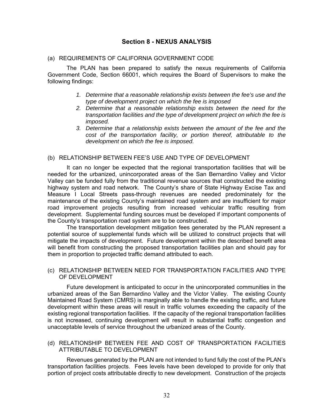#### **Section 8 - NEXUS ANALYSIS**

#### (a) REQUIREMENTS OF CALIFORNIA GOVERNMENT CODE

The PLAN has been prepared to satisfy the nexus requirements of California Government Code, Section 66001, which requires the Board of Supervisors to make the following findings:

- *1. Determine that a reasonable relationship exists between the fee's use and the type of development project on which the fee is imposed*
- *2. Determine that a reasonable relationship exists between the need for the transportation facilities and the type of development project on which the fee is imposed.*
- *3. Determine that a relationship exists between the amount of the fee and the cost of the transportation facility, or portion thereof, attributable to the development on which the fee is imposed.*

#### (b) RELATIONSHIP BETWEEN FEE'S USE AND TYPE OF DEVELOPMENT

It can no longer be expected that the regional transportation facilities that will be needed for the urbanized, unincorporated areas of the San Bernardino Valley and Victor Valley can be funded fully from the traditional revenue sources that constructed the existing highway system and road network. The County's share of State Highway Excise Tax and Measure I Local Streets pass-through revenues are needed predominately for the maintenance of the existing County's maintained road system and are insufficient for major road improvement projects resulting from increased vehicular traffic resulting from development. Supplemental funding sources must be developed if important components of the County's transportation road system are to be constructed.

The transportation development mitigation fees generated by the PLAN represent a potential source of supplemental funds which will be utilized to construct projects that will mitigate the impacts of development. Future development within the described benefit area will benefit from constructing the proposed transportation facilities plan and should pay for them in proportion to projected traffic demand attributed to each.

#### (c) RELATIONSHIP BETWEEN NEED FOR TRANSPORTATION FACILITIES AND TYPE OF DEVELOPMENT

Future development is anticipated to occur in the unincorporated communities in the urbanized areas of the San Bernardino Valley and the Victor Valley. The existing County Maintained Road System (CMRS) is marginally able to handle the existing traffic, and future development within these areas will result in traffic volumes exceeding the capacity of the existing regional transportation facilities. If the capacity of the regional transportation facilities is not increased, continuing development will result in substantial traffic congestion and unacceptable levels of service throughout the urbanized areas of the County.

#### (d) RELATIONSHIP BETWEEN FEE AND COST OF TRANSPORTATION FACILITIES ATTRIBUTABLE TO DEVELOPMENT

Revenues generated by the PLAN are not intended to fund fully the cost of the PLAN's transportation facilities projects. Fees levels have been developed to provide for only that portion of project costs attributable directly to new development. Construction of the projects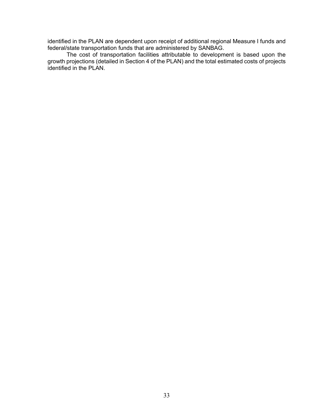identified in the PLAN are dependent upon receipt of additional regional Measure I funds and federal/state transportation funds that are administered by SANBAG.

The cost of transportation facilities attributable to development is based upon the growth projections (detailed in Section 4 of the PLAN) and the total estimated costs of projects identified in the PLAN.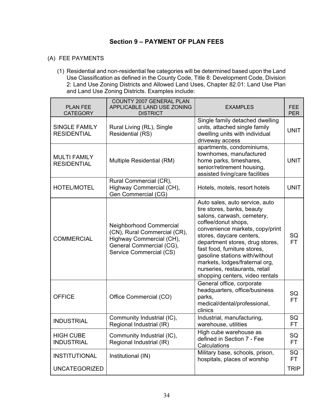#### **Section 9 – PAYMENT OF PLAN FEES**

#### (A) FEE PAYMENTS

(1) Residential and non-residential fee categories will be determined based upon the Land Use Classification as defined in the County Code, Title 8: Development Code, Division 2: Land Use Zoning Districts and Allowed Land Uses, Chapter 82.01: Land Use Plan and Land Use Zoning Districts. Examples include:

| <b>PLAN FEE</b><br><b>CATEGORY</b>         | <b>COUNTY 2007 GENERAL PLAN</b><br>APPLICABLE LAND USE ZONING<br><b>DISTRICT</b>                                                           | <b>EXAMPLES</b>                                                                                                                                                                                                                                                                                                                                                                              | <b>FEE</b><br><b>PER</b> |
|--------------------------------------------|--------------------------------------------------------------------------------------------------------------------------------------------|----------------------------------------------------------------------------------------------------------------------------------------------------------------------------------------------------------------------------------------------------------------------------------------------------------------------------------------------------------------------------------------------|--------------------------|
| <b>SINGLE FAMILY</b><br><b>RESIDENTIAL</b> | Rural Living (RL), Single<br>Residential (RS)                                                                                              | Single family detached dwelling<br>units, attached single family<br>dwelling units with individual<br>driveway access                                                                                                                                                                                                                                                                        | <b>UNIT</b>              |
| <b>MULTI FAMILY</b><br><b>RESIDENTIAL</b>  | Multiple Residential (RM)                                                                                                                  | apartments, condominiums,<br>townhomes, manufactured<br>home parks, timeshares,<br>senior/retirement housing,<br>assisted living/care facilities                                                                                                                                                                                                                                             | <b>UNIT</b>              |
| <b>HOTEL/MOTEL</b>                         | Rural Commercial (CR),<br>Highway Commercial (CH),<br>Gen Commercial (CG)                                                                  | Hotels, motels, resort hotels                                                                                                                                                                                                                                                                                                                                                                | <b>UNIT</b>              |
| <b>COMMERCIAL</b>                          | Neighborhood Commercial<br>(CN), Rural Commercial (CR),<br>Highway Commercial (CH),<br>General Commercial (CG),<br>Service Commercial (CS) | Auto sales, auto service, auto<br>tire stores, banks, beauty<br>salons, carwash, cemetery,<br>coffee/donut shops,<br>convenience markets, copy/print<br>stores, daycare centers,<br>department stores, drug stores,<br>fast food, furniture stores,<br>gasoline stations with/without<br>markets, lodges/fraternal org,<br>nurseries, restaurants, retail<br>shopping centers, video rentals | SQ<br><b>FT</b>          |
| <b>OFFICE</b>                              | Office Commercial (CO)                                                                                                                     | General office, corporate<br>headquarters, office/business<br>parks,<br>medical/dental/professional,<br>clinics                                                                                                                                                                                                                                                                              | SQ<br><b>FT</b>          |
| <b>INDUSTRIAL</b>                          | Community Industrial (IC),<br>Regional Industrial (IR)                                                                                     | Industrial, manufacturing,<br>warehouse, utilities                                                                                                                                                                                                                                                                                                                                           | SQ<br><b>FT</b>          |
| <b>HIGH CUBE</b><br><b>INDUSTRIAL</b>      | Community Industrial (IC),<br>Regional Industrial (IR)                                                                                     | High cube warehouse as<br>defined in Section 7 - Fee<br>Calculations                                                                                                                                                                                                                                                                                                                         | SQ<br><b>FT</b>          |
| <b>INSTITUTIONAL</b>                       | Institutional (IN)                                                                                                                         | Military base, schools, prison,<br>hospitals, places of worship                                                                                                                                                                                                                                                                                                                              | SQ<br>FT.                |
| <b>UNCATEGORIZED</b>                       |                                                                                                                                            |                                                                                                                                                                                                                                                                                                                                                                                              | <b>TRIP</b>              |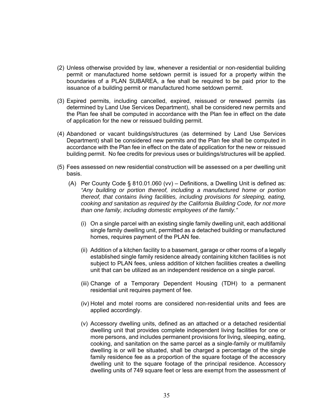- (2) Unless otherwise provided by law, whenever a residential or non-residential building permit or manufactured home setdown permit is issued for a property within the boundaries of a PLAN SUBAREA, a fee shall be required to be paid prior to the issuance of a building permit or manufactured home setdown permit.
- (3) Expired permits, including cancelled, expired, reissued or renewed permits (as determined by Land Use Services Department), shall be considered new permits and the Plan fee shall be computed in accordance with the Plan fee in effect on the date of application for the new or reissued building permit.
- (4) Abandoned or vacant buildings/structures (as determined by Land Use Services Department) shall be considered new permits and the Plan fee shall be computed in accordance with the Plan fee in effect on the date of application for the new or reissued building permit. No fee credits for previous uses or buildings/structures will be applied.
- (5) Fees assessed on new residential construction will be assessed on a per dwelling unit basis.
	- (A) Per County Code § 810.01.060 (vv) Definitions, a Dwelling Unit is defined as: *"Any building or portion thereof, including a manufactured home or portion thereof, that contains living facilities, including provisions for sleeping, eating, cooking and sanitation as required by the California Building Code, for not more than one family, including domestic employees of the family."*
		- (i) On a single parcel with an existing single family dwelling unit, each additional single family dwelling unit, permitted as a detached building or manufactured homes, requires payment of the PLAN fee.
		- (ii) Addition of a kitchen facility to a basement, garage or other rooms of a legally established single family residence already containing kitchen facilities is not subject to PLAN fees, unless addition of kitchen facilities creates a dwelling unit that can be utilized as an independent residence on a single parcel.
		- (iii) Change of a Temporary Dependent Housing (TDH) to a permanent residential unit requires payment of fee.
		- (iv) Hotel and motel rooms are considered non-residential units and fees are applied accordingly.
		- (v) Accessory dwelling units, defined as an attached or a detached residential dwelling unit that provides complete independent living facilities for one or more persons, and includes permanent provisions for living, sleeping, eating, cooking, and sanitation on the same parcel as a single-family or multifamily dwelling is or will be situated, shall be charged a percentage of the single family residence fee as a proportion of the square footage of the accessory dwelling unit to the square footage of the principal residence. Accessory dwelling units of 749 square feet or less are exempt from the assessment of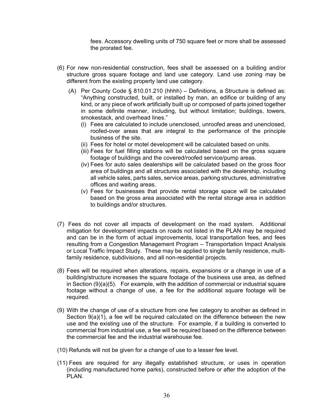fees. Accessory dwelling units of 750 square feet or more shall be assessed the prorated fee.

- (6) For new non-residential construction, fees shall be assessed on a building and/or structure gross square footage and land use category. Land use zoning may be different from the existing property land use category.
	- (A) Per County Code  $\S$  810.01.210 (hhhh) Definitions, a Structure is defined as: "Anything constructed, built, or installed by man, an edifice or building of any kind, or any piece of work artificially built up or composed of parts joined together in some definite manner, including, but without limitation; buildings, towers, smokestack, and overhead lines."
		- (i) Fees are calculated to include unenclosed, unroofed areas and unenclosed, roofed-over areas that are integral to the performance of the principle business of the site.
		- (ii) Fees for hotel or motel development will be calculated based on units.
		- (iii) Fees for fuel filling stations will be calculated based on the gross square footage of buildings and the covered/roofed service/pump areas.
		- (iv) Fees for auto sales dealerships will be calculated based on the gross floor area of buildings and all structures associated with the dealership, including all vehicle sales, parts sales, service areas, parking structures, administrative offices and waiting areas.
		- (v) Fees for businesses that provide rental storage space will be calculated based on the gross area associated with the rental storage area in addition to buildings and/or structures.
- (7) Fees do not cover all impacts of development on the road system. Additional mitigation for development impacts on roads not listed in the PLAN may be required and can be in the form of actual improvements, local transportation fees, and fees resulting from a Congestion Management Program – Transportation Impact Analysis or Local Traffic Impact Study. These may be applied to single family residence, multifamily residence, subdivisions, and all non-residential projects.
- (8) Fees will be required when alterations, repairs, expansions or a change in use of a building/structure increases the square footage of the business use area, as defined in Section (9)(a)(5). For example, with the addition of commercial or industrial square footage without a change of use, a fee for the additional square footage will be required.
- (9) With the change of use of a structure from one fee category to another as defined in Section 9(a)(1), a fee will be required calculated on the difference between the new use and the existing use of the structure. For example, if a building is converted to commercial from industrial use, a fee will be required based on the difference between the commercial fee and the industrial warehouse fee.
- (10) Refunds will not be given for a change of use to a lesser fee level.
- (11) Fees are required for any illegally established structure, or uses in operation (including manufactured home parks), constructed before or after the adoption of the PLAN.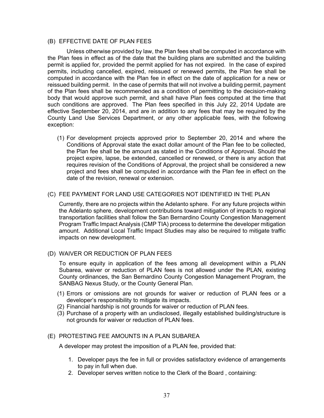#### (B) EFFECTIVE DATE OF PLAN FEES

Unless otherwise provided by law, the Plan fees shall be computed in accordance with the Plan fees in effect as of the date that the building plans are submitted and the building permit is applied for, provided the permit applied for has not expired. In the case of expired permits, including cancelled, expired, reissued or renewed permits, the Plan fee shall be computed in accordance with the Plan fee in effect on the date of application for a new or reissued building permit. In the case of permits that will not involve a building permit, payment of the Plan fees shall be recommended as a condition of permitting to the decision-making body that would approve such permit, and shall have Plan fees computed at the time that such conditions are approved. The Plan fees specified in this July 22, 2014 Update are effective September 20, 2014, and are in addition to any fees that may be required by the County Land Use Services Department, or any other applicable fees, with the following exception:

(1) For development projects approved prior to September 20, 2014 and where the Conditions of Approval state the exact dollar amount of the Plan fee to be collected, the Plan fee shall be the amount as stated in the Conditions of Approval. Should the project expire, lapse, be extended, cancelled or renewed, or there is any action that requires revision of the Conditions of Approval, the project shall be considered a new project and fees shall be computed in accordance with the Plan fee in effect on the date of the revision, renewal or extension.

#### (C) FEE PAYMENT FOR LAND USE CATEGORIES NOT IDENTIFIED IN THE PLAN

Currently, there are no projects within the Adelanto sphere. For any future projects within the Adelanto sphere, development contributions toward mitigation of impacts to regional transportation facilities shall follow the San Bernardino County Congestion Management Program Traffic Impact Analysis (CMP TIA) process to determine the developer mitigation amount. Additional Local Traffic Impact Studies may also be required to mitigate traffic impacts on new development.

#### (D) WAIVER OR REDUCTION OF PLAN FEES

To ensure equity in application of the fees among all development within a PLAN Subarea, waiver or reduction of PLAN fees is not allowed under the PLAN, existing County ordinances, the San Bernardino County Congestion Management Program, the SANBAG Nexus Study, or the County General Plan.

- (1) Errors or omissions are not grounds for waiver or reduction of PLAN fees or a developer's responsibility to mitigate its impacts.
- (2) Financial hardship is not grounds for waiver or reduction of PLAN fees.
- (3) Purchase of a property with an undisclosed, illegally established building/structure is not grounds for waiver or reduction of PLAN fees.

#### (E) PROTESTING FEE AMOUNTS IN A PLAN SUBAREA

A developer may protest the imposition of a PLAN fee, provided that:

- 1. Developer pays the fee in full or provides satisfactory evidence of arrangements to pay in full when due.
- 2. Developer serves written notice to the Clerk of the Board , containing: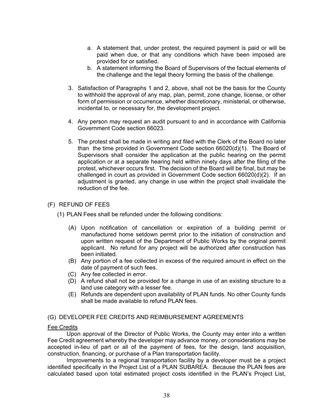- a. A statement that, under protest, the required payment is paid or will be paid when due, or that any conditions which have been imposed are provided for or satisfied.
- b. A statement informing the Board of Supervisors of the factual elements of the challenge and the legal theory forming the basis of the challenge.
- 3. Satisfaction of Paragraphs 1 and 2, above, shall not be the basis for the County to withhold the approval of any map, plan, permit, zone change, license, or other form of permission or occurrence, whether discretionary, ministerial, or otherwise, incidental to, or necessary for, the development project.
- 4. Any person may request an audit pursuant to and in accordance with California Government Code section 66023.
- 5. The protest shall be made in writing and filed with the Clerk of the Board no later than the time provided in Government Code section 66020(d)(1). The Board of Supervisors shall consider the application at the public hearing on the permit application or at a separate hearing held within ninety days after the filing of the protest, whichever occurs first. The decision of the Board will be final, but may be challenged in court as provided in Government Code section 66020(d)(2). If an adjustment is granted, any change in use within the project shall invalidate the reduction of the fee.

#### (F) REFUND OF FEES

- (1) PLAN Fees shall be refunded under the following conditions:
	- (A) Upon notification of cancellation or expiration of a building permit or manufactured home setdown permit prior to the initiation of construction and upon written request of the Department of Public Works by the original permit applicant. No refund for any project will be authorized after construction has been initiated.
	- (B) Any portion of a fee collected in excess of the required amount in effect on the date of payment of such fees.
	- (C) Any fee collected in error.
	- (D) A refund shall not be provided for a change in use of an existing structure to a land use category with a lesser fee.
	- (E) Refunds are dependent upon availability of PLAN funds. No other County funds shall be made available to refund PLAN fees.

#### (G) DEVELOPER FEE CREDITS AND REIMBURSEMENT AGREEMENTS

#### Fee Credits

Upon approval of the Director of Public Works, the County may enter into a written Fee Credit agreement whereby the developer may advance money, or considerations may be accepted in-lieu of part or all of the payment of fees, for the design, land acquisition, construction, financing, or purchase of a Plan transportation facility.

Improvements to a regional transportation facility by a developer must be a project identified specifically in the Project List of a PLAN SUBAREA. Because the PLAN fees are calculated based upon total estimated project costs identified in the PLAN's Project List,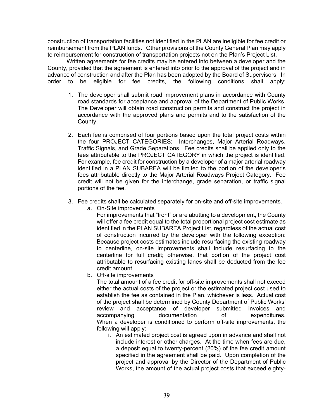construction of transportation facilities not identified in the PLAN are ineligible for fee credit or reimbursement from the PLAN funds. Other provisions of the County General Plan may apply to reimbursement for construction of transportation projects not on the Plan's Project List.

Written agreements for fee credits may be entered into between a developer and the County, provided that the agreement is entered into prior to the approval of the project and in advance of construction and after the Plan has been adopted by the Board of Supervisors. In order to be eligible for fee credits, the following conditions shall apply:

- 1. The developer shall submit road improvement plans in accordance with County road standards for acceptance and approval of the Department of Public Works. The Developer will obtain road construction permits and construct the project in accordance with the approved plans and permits and to the satisfaction of the County.
- 2. Each fee is comprised of four portions based upon the total project costs within the four PROJECT CATEGORIES: Interchanges, Major Arterial Roadways, Traffic Signals, and Grade Separations. Fee credits shall be applied only to the fees attributable to the PROJECT CATEGORY in which the project is identified. For example, fee credit for construction by a developer of a major arterial roadway identified in a PLAN SUBAREA will be limited to the portion of the developer's fees attributable directly to the Major Arterial Roadways Project Category. Fee credit will not be given for the interchange, grade separation, or traffic signal portions of the fee.
- 3. Fee credits shall be calculated separately for on-site and off-site improvements.
	- a. On-Site improvements

For improvements that "front" or are abutting to a development, the County will offer a fee credit equal to the total proportional project cost estimate as identified in the PLAN SUBAREA Project List, regardless of the actual cost of construction incurred by the developer with the following exception: Because project costs estimates include resurfacing the existing roadway to centerline, on-site improvements shall include resurfacing to the centerline for full credit; otherwise, that portion of the project cost attributable to resurfacing existing lanes shall be deducted from the fee credit amount.

b. Off-site improvements

The total amount of a fee credit for off-site improvements shall not exceed either the actual costs of the project or the estimated project cost used to establish the fee as contained in the Plan, whichever is less. Actual cost of the project shall be determined by County Department of Public Works' review and acceptance of developer submitted invoices and accompanying documentation of expenditures. When a developer is conditioned to perform off-site improvements, the following will apply:

i. An estimated project cost is agreed upon in advance and shall not include interest or other charges. At the time when fees are due, a deposit equal to twenty-percent (20%) of the fee credit amount specified in the agreement shall be paid. Upon completion of the project and approval by the Director of the Department of Public Works, the amount of the actual project costs that exceed eighty-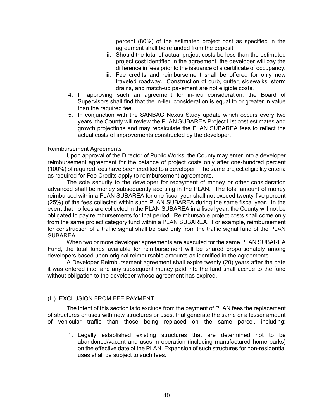percent (80%) of the estimated project cost as specified in the agreement shall be refunded from the deposit.

- ii. Should the total of actual project costs be less than the estimated project cost identified in the agreement, the developer will pay the difference in fees prior to the issuance of a certificate of occupancy.
- iii. Fee credits and reimbursement shall be offered for only new traveled roadway. Construction of curb, gutter, sidewalks, storm drains, and match-up pavement are not eligible costs.
- 4. In approving such an agreement for in-lieu consideration, the Board of Supervisors shall find that the in-lieu consideration is equal to or greater in value than the required fee.
- 5. In conjunction with the SANBAG Nexus Study update which occurs every two years, the County will review the PLAN SUBAREA Project List cost estimates and growth projections and may recalculate the PLAN SUBAREA fees to reflect the actual costs of improvements constructed by the developer.

#### Reimbursement Agreements

Upon approval of the Director of Public Works, the County may enter into a developer reimbursement agreement for the balance of project costs only after one-hundred percent (100%) of required fees have been credited to a developer. The same project eligibility criteria as required for Fee Credits apply to reimbursement agreements.

The sole security to the developer for repayment of money or other consideration advanced shall be money subsequently accruing in the PLAN. The total amount of money reimbursed within a PLAN SUBAREA for one fiscal year shall not exceed twenty-five percent (25%) of the fees collected within such PLAN SUBAREA during the same fiscal year. In the event that no fees are collected in the PLAN SUBAREA in a fiscal year, the County will not be obligated to pay reimbursements for that period. Reimbursable project costs shall come only from the same project category fund within a PLAN SUBAREA. For example, reimbursement for construction of a traffic signal shall be paid only from the traffic signal fund of the PLAN SUBAREA.

When two or more developer agreements are executed for the same PLAN SUBAREA Fund, the total funds available for reimbursement will be shared proportionately among developers based upon original reimbursable amounts as identified in the agreements.

A Developer Reimbursement agreement shall expire twenty (20) years after the date it was entered into, and any subsequent money paid into the fund shall accrue to the fund without obligation to the developer whose agreement has expired.

#### (H) EXCLUSION FROM FEE PAYMENT

The intent of this section is to exclude from the payment of PLAN fees the replacement of structures or uses with new structures or uses, that generate the same or a lesser amount of vehicular traffic than those being replaced on the same parcel, including:

1. Legally established existing structures that are determined not to be abandoned/vacant and uses in operation (including manufactured home parks) on the effective date of the PLAN. Expansion of such structures for non-residential uses shall be subject to such fees.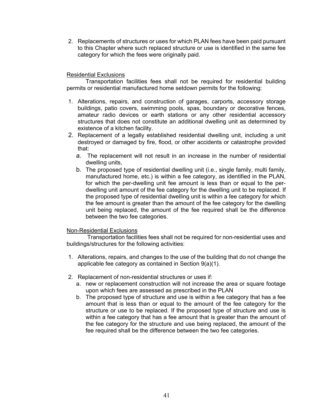2. Replacements of structures or uses for which PLAN fees have been paid pursuant to this Chapter where such replaced structure or use is identified in the same fee category for which the fees were originally paid.

#### Residential Exclusions

Transportation facilities fees shall not be required for residential building permits or residential manufactured home setdown permits for the following:

- 1. Alterations, repairs, and construction of garages, carports, accessory storage buildings, patio covers, swimming pools, spas, boundary or decorative fences, amateur radio devices or earth stations or any other residential accessory structures that does not constitute an additional dwelling unit as determined by existence of a kitchen facility.
- 2. Replacement of a legally established residential dwelling unit, including a unit destroyed or damaged by fire, flood, or other accidents or catastrophe provided that:
	- a. The replacement will not result in an increase in the number of residential dwelling units,
	- b. The proposed type of residential dwelling unit (i.e., single family, multi family, manufactured home, etc.) is within a fee category, as identified in the PLAN, for which the per-dwelling unit fee amount is less than or equal to the perdwelling unit amount of the fee category for the dwelling unit to be replaced. If the proposed type of residential dwelling unit is within a fee category for which the fee amount is greater than the amount of the fee category for the dwelling unit being replaced, the amount of the fee required shall be the difference between the two fee categories.

#### Non-Residential Exclusions

 Transportation facilities fees shall not be required for non-residential uses and buildings/structures for the following activities:

- 1. Alterations, repairs, and changes to the use of the building that do not change the applicable fee category as contained in Section 9(a)(1).
- 2. Replacement of non-residential structures or uses if:
	- a. new or replacement construction will not increase the area or square footage upon which fees are assessed as prescribed in the PLAN
	- b. The proposed type of structure and use is within a fee category that has a fee amount that is less than or equal to the amount of the fee category for the structure or use to be replaced. If the proposed type of structure and use is within a fee category that has a fee amount that is greater than the amount of the fee category for the structure and use being replaced, the amount of the fee required shall be the difference between the two fee categories.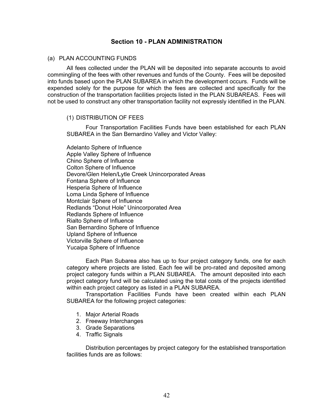#### **Section 10 - PLAN ADMINISTRATION**

#### (a) PLAN ACCOUNTING FUNDS

All fees collected under the PLAN will be deposited into separate accounts to avoid commingling of the fees with other revenues and funds of the County. Fees will be deposited into funds based upon the PLAN SUBAREA in which the development occurs. Funds will be expended solely for the purpose for which the fees are collected and specifically for the construction of the transportation facilities projects listed in the PLAN SUBAREAS. Fees will not be used to construct any other transportation facility not expressly identified in the PLAN.

#### (1) DISTRIBUTION OF FEES

Four Transportation Facilities Funds have been established for each PLAN SUBAREA in the San Bernardino Valley and Victor Valley:

Adelanto Sphere of Influence Apple Valley Sphere of Influence Chino Sphere of Influence Colton Sphere of Influence Devore/Glen Helen/Lytle Creek Unincorporated Areas Fontana Sphere of Influence Hesperia Sphere of Influence Loma Linda Sphere of Influence Montclair Sphere of Influence Redlands "Donut Hole" Unincorporated Area Redlands Sphere of Influence Rialto Sphere of Influence San Bernardino Sphere of Influence Upland Sphere of Influence Victorville Sphere of Influence Yucaipa Sphere of Influence

Each Plan Subarea also has up to four project category funds, one for each category where projects are listed. Each fee will be pro-rated and deposited among project category funds within a PLAN SUBAREA. The amount deposited into each project category fund will be calculated using the total costs of the projects identified within each project category as listed in a PLAN SUBAREA.

Transportation Facilities Funds have been created within each PLAN SUBAREA for the following project categories:

- 1. Major Arterial Roads
- 2. Freeway Interchanges
- 3. Grade Separations
- 4. Traffic Signals

Distribution percentages by project category for the established transportation facilities funds are as follows: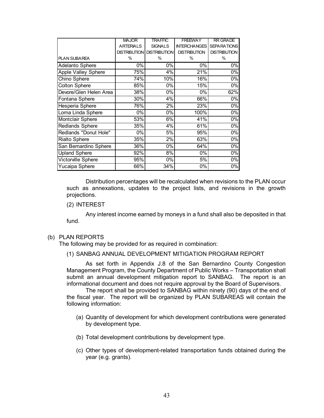|                            | <b>MAJOR</b>        | <b>TRAFFIC</b>      | <b>FREEWAY</b>      | <b>RR GRADE</b>     |
|----------------------------|---------------------|---------------------|---------------------|---------------------|
|                            | <b>ARTERIALS</b>    | <b>SIGNALS</b>      | <b>INTERCHANGES</b> | <b>SEPARATIONS</b>  |
|                            | <b>DISTRIBUTION</b> | <b>DISTRIBUTION</b> | <b>DISTRIBUTION</b> | <b>DISTRIBUTION</b> |
| PLAN SUBAREA               | $\%$                | $\%$                | $\%$                | $\%$                |
| <b>Adelanto Sphere</b>     | 0%                  | 0%                  | 0%                  | 0%                  |
| <b>Apple Valley Sphere</b> | 75%                 | 4%                  | 21%                 | 0%                  |
| Chino Sphere               | 74%                 | 10%                 | 16%                 | 0%                  |
| <b>Colton Sphere</b>       | 85%                 | 0%                  | 15%                 | 0%                  |
| Devore/Glen Helen Area     | 38%                 | 0%                  | 0%                  | 62%                 |
| Fontana Sphere             | 30%                 | 4%                  | 66%                 | 0%                  |
| Hesperia Sphere            | 76%                 | 2%                  | 23%                 | 0%                  |
| Loma Linda Sphere          | 0%                  | 0%                  | 100%                | 0%                  |
| Montclair Sphere           | 53%                 | 6%                  | 41%                 | 0%                  |
| <b>Redlands Sphere</b>     | 35%                 | 4%                  | 61%                 | 0%                  |
| Redlands "Donut Hole"      | 0%                  | 5%                  | 95%                 | 0%                  |
| <b>Rialto Sphere</b>       | 35%                 | 2%                  | 63%                 | 0%                  |
| San Bernardino Sphere      | 36%                 | 0%                  | 64%                 | 0%                  |
| <b>Upland Sphere</b>       | 92%                 | 8%                  | 0%                  | 0%                  |
| Victorville Sphere         | 95%                 | 0%                  | 5%                  | 0%                  |
| <b>Yucaipa Sphere</b>      | 66%                 | 34%                 | 0%                  | 0%                  |

Distribution percentages will be recalculated when revisions to the PLAN occur such as annexations, updates to the project lists, and revisions in the growth projections.

#### (2) INTEREST

Any interest income earned by moneys in a fund shall also be deposited in that fund.

#### (b) PLAN REPORTS

The following may be provided for as required in combination:

#### (1) SANBAG ANNUAL DEVELOPMENT MITIGATION PROGRAM REPORT

As set forth in Appendix J.8 of the San Bernardino County Congestion Management Program, the County Department of Public Works – Transportation shall submit an annual development mitigation report to SANBAG. The report is an informational document and does not require approval by the Board of Supervisors.

The report shall be provided to SANBAG within ninety (90) days of the end of the fiscal year. The report will be organized by PLAN SUBAREAS will contain the following information:

- (a) Quantity of development for which development contributions were generated by development type.
- (b) Total development contributions by development type.
- (c) Other types of development-related transportation funds obtained during the year (e.g. grants).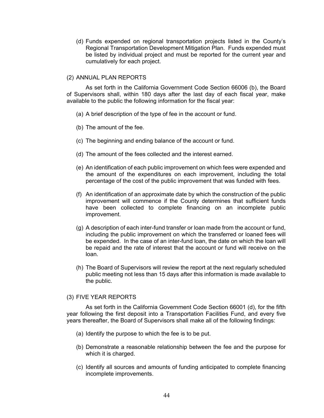(d) Funds expended on regional transportation projects listed in the County's Regional Transportation Development Mitigation Plan. Funds expended must be listed by individual project and must be reported for the current year and cumulatively for each project.

#### (2) ANNUAL PLAN REPORTS

As set forth in the California Government Code Section 66006 (b), the Board of Supervisors shall, within 180 days after the last day of each fiscal year, make available to the public the following information for the fiscal year:

- (a) A brief description of the type of fee in the account or fund.
- (b) The amount of the fee.
- (c) The beginning and ending balance of the account or fund.
- (d) The amount of the fees collected and the interest earned.
- (e) An identification of each public improvement on which fees were expended and the amount of the expenditures on each improvement, including the total percentage of the cost of the public improvement that was funded with fees.
- (f) An identification of an approximate date by which the construction of the public improvement will commence if the County determines that sufficient funds have been collected to complete financing on an incomplete public improvement.
- (g) A description of each inter-fund transfer or loan made from the account or fund, including the public improvement on which the transferred or loaned fees will be expended. In the case of an inter-fund loan, the date on which the loan will be repaid and the rate of interest that the account or fund will receive on the loan.
- (h) The Board of Supervisors will review the report at the next regularly scheduled public meeting not less than 15 days after this information is made available to the public.

#### (3) FIVE YEAR REPORTS

As set forth in the California Government Code Section 66001 (d), for the fifth year following the first deposit into a Transportation Facilities Fund, and every five years thereafter, the Board of Supervisors shall make all of the following findings:

- (a) Identify the purpose to which the fee is to be put.
- (b) Demonstrate a reasonable relationship between the fee and the purpose for which it is charged.
- (c) Identify all sources and amounts of funding anticipated to complete financing incomplete improvements.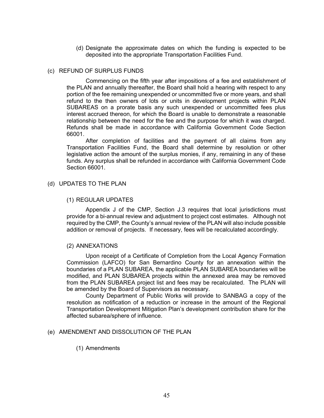(d) Designate the approximate dates on which the funding is expected to be deposited into the appropriate Transportation Facilities Fund.

#### (c) REFUND OF SURPLUS FUNDS

Commencing on the fifth year after impositions of a fee and establishment of the PLAN and annually thereafter, the Board shall hold a hearing with respect to any portion of the fee remaining unexpended or uncommitted five or more years, and shall refund to the then owners of lots or units in development projects within PLAN SUBAREAS on a prorate basis any such unexpended or uncommitted fees plus interest accrued thereon, for which the Board is unable to demonstrate a reasonable relationship between the need for the fee and the purpose for which it was charged. Refunds shall be made in accordance with California Government Code Section 66001.

After completion of facilities and the payment of all claims from any Transportation Facilities Fund, the Board shall determine by resolution or other legislative action the amount of the surplus monies, if any, remaining in any of these funds. Any surplus shall be refunded in accordance with California Government Code Section 66001.

#### (d) UPDATES TO THE PLAN

#### (1) REGULAR UPDATES

Appendix J of the CMP, Section J.3 requires that local jurisdictions must provide for a bi-annual review and adjustment to project cost estimates. Although not required by the CMP, the County's annual review of the PLAN will also include possible addition or removal of projects. If necessary, fees will be recalculated accordingly.

#### (2) ANNEXATIONS

Upon receipt of a Certificate of Completion from the Local Agency Formation Commission (LAFCO) for San Bernardino County for an annexation within the boundaries of a PLAN SUBAREA, the applicable PLAN SUBAREA boundaries will be modified, and PLAN SUBAREA projects within the annexed area may be removed from the PLAN SUBAREA project list and fees may be recalculated. The PLAN will be amended by the Board of Supervisors as necessary.

County Department of Public Works will provide to SANBAG a copy of the resolution as notification of a reduction or increase in the amount of the Regional Transportation Development Mitigation Plan's development contribution share for the affected subarea/sphere of influence.

#### (e) AMENDMENT AND DISSOLUTION OF THE PLAN

#### (1) Amendments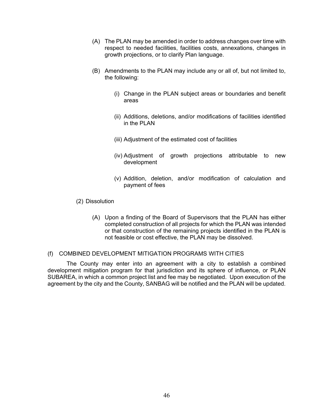- (A) The PLAN may be amended in order to address changes over time with respect to needed facilities, facilities costs, annexations, changes in growth projections, or to clarify Plan language.
- (B) Amendments to the PLAN may include any or all of, but not limited to, the following:
	- (i) Change in the PLAN subject areas or boundaries and benefit areas
	- (ii) Additions, deletions, and/or modifications of facilities identified in the PLAN
	- (iii) Adjustment of the estimated cost of facilities
	- (iv) Adjustment of growth projections attributable to new development
	- (v) Addition, deletion, and/or modification of calculation and payment of fees
- (2) Dissolution
	- (A) Upon a finding of the Board of Supervisors that the PLAN has either completed construction of all projects for which the PLAN was intended or that construction of the remaining projects identified in the PLAN is not feasible or cost effective, the PLAN may be dissolved.

#### (f) COMBINED DEVELOPMENT MITIGATION PROGRAMS WITH CITIES

The County may enter into an agreement with a city to establish a combined development mitigation program for that jurisdiction and its sphere of influence, or PLAN SUBAREA, in which a common project list and fee may be negotiated. Upon execution of the agreement by the city and the County, SANBAG will be notified and the PLAN will be updated.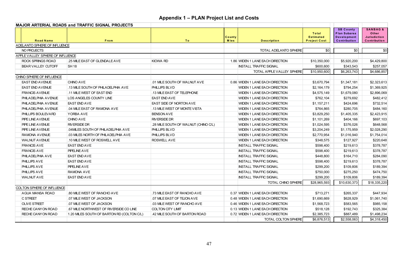|                                  | <b>MAJOR ARTERIAL ROADS and TRAFFIC SIGNAL PROJECTS</b> |                                      |                        |                                  |                                                  |                                                                               |                                                                     |
|----------------------------------|---------------------------------------------------------|--------------------------------------|------------------------|----------------------------------|--------------------------------------------------|-------------------------------------------------------------------------------|---------------------------------------------------------------------|
| <b>Road Name</b>                 | From                                                    | To                                   | County<br><b>M</b> ies | <b>Description</b>               | Total<br><b>Estimated</b><br><b>Project Cost</b> | <b>SB County</b><br><b>Plan Subarea</b><br><b>Development</b><br>Contribution | <b>SANBAG &amp;</b><br>Other<br><b>Jurisdiction</b><br>Contribution |
| ADELANTO SPHERE OF INFLUENCE     |                                                         |                                      |                        |                                  |                                                  |                                                                               |                                                                     |
| NO PROJECTS                      |                                                         |                                      |                        | <b>TOTAL ADELANTO SPHERE</b>     | \$0                                              | \$0                                                                           | \$0                                                                 |
| APPLE VALLEY SPHERE OF INFLUENCE |                                                         |                                      |                        |                                  |                                                  |                                                                               |                                                                     |
| ROCK SPRINGS ROAD                | .25 MILE EAST OF GLENDALE AVE                           | KIOWA RD                             |                        | 1.86 WIDEN 1 LANE EACH DIRECTION | \$10,350,000                                     | \$5,920,200                                                                   | \$4,429,800                                                         |
| BEAR VALLEY CUTOFF               | <b>SH 18</b>                                            |                                      |                        | <b>INSTALL TRAFFIC SIGNAL</b>    | \$600,600                                        | \$343,543                                                                     | \$257,057                                                           |
|                                  |                                                         |                                      |                        | TOTAL APPLE VALLEY SPHERE        | \$10,950,600                                     | \$6,263,743                                                                   | \$4,686,857                                                         |
| CHINO SPHERE OF INFLUENCE        |                                                         |                                      |                        |                                  |                                                  |                                                                               |                                                                     |
| <b>EAST END AVENUE</b>           | <b>CHINO AVE</b>                                        | .01 MILE SOUTH OF WALNUT AVE         |                        | 0.86 WIDEN 1 LANE EACH DIRECTION | \$3,670,794                                      | \$1,347,181                                                                   | \$2,323,613                                                         |
| <b>EAST END AVENUE</b>           | .13 MILE SOUTH OF PHILADELPHIA AVE                      | PHILLIPS BLVD                        |                        | WIDEN 1 LANE EACH DIRECTION      | \$2,164,179                                      | \$794,254                                                                     | \$1,369,925                                                         |
| <b>FRANCIS AVENUE</b>            | .11 MILE WEST OF EAST END                               | .13 MILE EAST OF TELEPHONE           |                        | WIDEN 1 LANE EACH DIRECTION      | \$4,575,149                                      | \$1,679,080                                                                   | \$2,896,069                                                         |
| PHILADELPHIA AVENUE              | LOS ANGELES COUNTY LINE                                 | <b>EAST END AVE</b>                  |                        | WIDEN 1 LANE EACH DIRECTION      | \$762,104                                        | \$279,692                                                                     | \$482,412                                                           |
| PHILADELPHIA AVENUE              | <b>EAST END AVE</b>                                     | EAST SIDE OF NORTON AVE              |                        | WIDEN 1 LANE EACH DIRECTION      | \$1,157,211                                      | \$424,696                                                                     | \$732,514                                                           |
| PHILADELPHIA AVENUE              | .04 MILE EAST OF RAMONA AVE                             | .13 MILE WEST OF MONTE VISTA         |                        | WIDEN 1 LANE EACH DIRECTION      | \$764,865                                        | \$280,705                                                                     | \$484,160                                                           |
| PHILLIPS BOULEVARD               | YORBA AVE                                               | <b>BENSON AVE</b>                    |                        | WIDEN 1 LANE EACH DIRECTION      | \$3,829,250                                      | \$1,405,335                                                                   | \$2,423,915                                                         |
| PIPE LINE AVENUE                 | CHINO AVE                                               | <b>RIVERSIDE DR</b>                  |                        | WIDEN 1 LANE EACH DIRECTION      | \$1,101,269                                      | \$404,166                                                                     | \$697,103                                                           |
| PIPE LINE AVENUE                 | <b>RIVERSIDE DR</b>                                     | .28 MILE SOUTH OF WALNUT (CHINO C/L) |                        | WIDEN 1 LANE EACH DIRECTION      | \$1,024,595                                      | \$376,026                                                                     | \$648,568                                                           |
| PIPE LINE AVENUE                 | .04MILES SOUTH OF PHILADELPHIA AVE                      | PHILLIPS BLVD                        |                        | WIDEN 1 LANE EACH DIRECTION      | \$3,204,249                                      | \$1,175,959                                                                   | \$2,028,290                                                         |
| RAMONA AVENUE                    | .03 MILES NORTH OF PHILADELPHIA AVE                     | PHILLIPS BLVD                        |                        | WIDEN 1 LANE EACH DIRECTION      | \$2,770,954                                      | \$1,016,940                                                                   | \$1,754,014                                                         |
| <b>WALNUT AVENUE</b>             | .10 MILE WEST OF ROSWELL AVE                            | ROSWELL AVE                          |                        | WIDEN 1 LANE EACH DIRECTION      | \$348,575                                        | \$127,927                                                                     | \$220,648                                                           |
| <b>FRANCIS AVE</b>               | <b>EAST END AVE</b>                                     |                                      |                        | <b>INSTALL TRAFFIC SIGNAL</b>    | \$598,400                                        | \$219,613                                                                     | \$378,787                                                           |
| <b>FRANCIS AVE</b>               | PIPELINE AVE                                            |                                      |                        | <b>INSTALL TRAFFIC SIGNAL</b>    | \$598,400                                        | \$219,613                                                                     | \$378,787                                                           |
| PHILADELPHIA AVE                 | <b>EAST END AVE</b>                                     |                                      |                        | <b>INSTALL TRAFFIC SIGNAL</b>    | \$448,800                                        | \$164,710                                                                     | \$284,090                                                           |
| PHILLIPS AVE                     | <b>EAST END AVE</b>                                     |                                      |                        | <b>INSTALL TRAFFIC SIGNAL</b>    | \$598,400                                        | \$219,613                                                                     | \$378,787                                                           |
| PHILLIPS AVE                     | PIPELINE AVE                                            |                                      |                        | <b>INSTALL TRAFFIC SIGNAL</b>    | \$299,200                                        | \$109,806                                                                     | \$189,394                                                           |
| PHILLIPS AVE                     | RAMONA AVE                                              |                                      |                        | <b>INSTALL TRAFFIC SIGNAL</b>    | \$750,000                                        | \$275,250                                                                     | \$474,750                                                           |
| <b>WALNUT AVE</b>                | <b>EAST END AVE</b>                                     |                                      |                        | <b>INSTALL TRAFFIC SIGNAL</b>    | \$299,200                                        | \$109,806                                                                     | \$189,394                                                           |
|                                  |                                                         |                                      |                        | TOTAL CHINO SPHERE               | \$28,965,593                                     | \$10,630,373                                                                  | \$18,335,220                                                        |
| COLTON SPHERE OF INFLUENCE       |                                                         |                                      |                        |                                  |                                                  |                                                                               |                                                                     |
| AGUA MANSA ROAD                  | .80 MILE WEST OF RANCHO AVE                             | .73 MILE EAST OF RANCHO AVE          |                        | 0.37 WIDEN 1 LANE EACH DIRECTION | \$713,271                                        | \$265,337                                                                     | \$447,934                                                           |
| <b>C STREET</b>                  | .07 MILE WEST OF JACKSON                                | .07 MILE EAST OF TEJON AVE           |                        | 0.48 WIDEN 1 LANE EACH DIRECTION | \$1,690,669                                      | \$628,929                                                                     | \$1,061,740                                                         |
| <b>OLIVE STREET</b>              | .07 MILE WEST OF JACKSON                                | .03 MILE WEST OF RANCHO AVE          |                        | 0.46 WIDEN 1 LANE EACH DIRECTION | \$1,568,723                                      | \$583,565                                                                     | \$985,158                                                           |
| RECHE CANYON ROAD                | .67 MILE NORTHWEST OF RIVERSIDE CO LINE                 | COLTON CITY LIMIT                    |                        | 0.13 WIDEN 1 LANE EACH DIRECTION | \$518,128                                        | \$192,743                                                                     | \$325,384                                                           |
| RECHE CANYON ROAD                | 1.20 MILES SOUTH OF BARTON RD (COLTON C/L)              | .42 MILE SOUTH OF BARTON ROAD        |                        | 0.72 WIDEN 1 LANE EACH DIRECTION | \$2,385,723                                      | \$887,489                                                                     | \$1,498,234                                                         |
|                                  |                                                         |                                      |                        | TOTAL COLTON SPHERE              | \$6,876,513                                      | \$2,558,063                                                                   | \$4,318,450                                                         |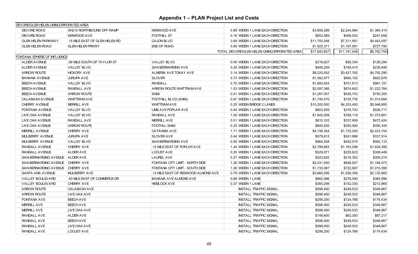| DEVORE/GLEN HELEN UNINCORPORATED AREA |                                |                                     |                                             |              |              |             |
|---------------------------------------|--------------------------------|-------------------------------------|---------------------------------------------|--------------|--------------|-------------|
| DEVORE ROAD                           | SH215 NORTHBOUND OFF-RAMP      | <b>KENWOOD AVE</b>                  | 0.89 WIDEN 1 LANE EACH DIRECTION            | \$3,609,299  | \$2,244,984  | \$1,364,315 |
| DEVORE ROAD                           | KENWOOD AVE                    | <b>FOOTHILL ST</b>                  | 0.16 WIDEN 1 LANE EACH DIRECTION            | \$653.589    | \$406,532    | \$247,056   |
| <b>GLEN HELEN PARKWAY</b>             | .15 MILE EAST OF GLEN HELEN RD | <b>CAJON BLVD</b>                   | 3.69 WIDEN 1 LANE EACH DIRECTION            | \$11.755.548 | \$7,311,951  | \$4,443,597 |
| <b>GLEN HELEN ROAD</b>                | <b>GLEN HELEN PRKWY</b>        | <b>END OF ROAD</b>                  | 0.90 WIDEN 1 LANE EACH DIRECTION            | \$1,925,371  | \$1,197,581  | \$727,790   |
|                                       |                                |                                     | TOTAL DEVORE/GLEN HELEN UNINCORPORATED AREA | \$17,943,807 | \$11,161,048 | \$6,782,759 |
| FONTANA SPHERE OF INFLUENCE           |                                |                                     |                                             |              |              |             |
| <b>ALDER AVENUE</b>                   | .08 MILE SOUTH OF TAYLOR ST    | <b>VALLEY BLVD</b>                  | 0.09 WIDEN 1 LANE EACH DIRECTION            | \$216.627    | \$90,334     | \$126,294   |
| <b>ALDER AVENUE</b>                   | <b>VALLEY BLVD</b>             | SAN BERNARDINO AVE                  | 0.25 WIDEN 1 LANE EACH DIRECTION            | \$406,259    | \$169,410    | \$236,849   |
| <b>ARROW ROUTE</b>                    | <b>HICKORY AVE</b>             | ALMERIA AVE TOKAY AVE               | 3.14 WIDEN 1 LANE EACH DIRECTION            | \$8,220,052  | \$3,427,762  | \$4,792,290 |
| <b>BANANA AVENUE</b>                  | <b>JURUPA AVE</b>              | <b>SLOVER</b>                       | 0.73 WIDEN 1 LANE EACH DIRECTION            | \$1,582,977  | \$660,102    | \$922,876   |
| <b>BEECH AVENUE</b>                   | <b>VALLEY BLVD</b>             | <b>RANDALL</b>                      | 0.75 WIDEN 1 LANE EACH DIRECTION            | \$1,683,004  | \$701,813    | \$981,191   |
| <b>BEECH AVENUE</b>                   | RANDALL AVE                    | ARROW ROUTE WHITTRAM AVE            | 1.03 WIDEN 1 LANE EACH DIRECTION            | \$2,097,366  | \$874,602    | \$1,222,764 |
| <b>BEECH AVENUE</b>                   | <b>ARROW ROUTE</b>             | SH <sub>66</sub>                    | 0.51 WIDEN 1 LANE EACH DIRECTION            | \$1,287,057  | \$536,703    | \$750,355   |
| <b>CALABASH AVENUE</b>                | <b>WHITTRAMAVE</b>             | FOOTHILL BLVD (SH66)                | 0.67 WIDEN 1 LANE EACH DIRECTION            | \$1,740,470  | \$725,776    | \$1,014,694 |
| <b>CHERRY AVENUE</b>                  | <b>MERRILL AVE</b>             | <b>WHITTRAM AVE</b>                 | 0.25 WIDEN BRIDGE 2 LANES                   | \$10,200,000 | \$4,253,400  | \$5,946,600 |
| <b>FONTANA AVENUE</b>                 | <b>VALLEY BLVD</b>             | LIME AVE POPLAR AVE                 | 0.44 WIDEN 1 LANE EACH DIRECTION            | \$903,459    | \$376,743    | \$526,717   |
| LIVE OAK AVENUE                       | <b>VALLEY BLVD</b>             | <b>RANDALL AVE</b>                  | 1.00 WIDEN 1 LANE EACH DIRECTION            | \$1,842,009  | \$768,118    | \$1,073,891 |
| LIVE OAK AVENUE                       | RANDALL AVE                    | <b>MERRILL AVE</b>                  | 0.51 WIDEN 1 LANE EACH DIRECTION            | \$810,333    | \$337,909    | \$472,424   |
| LIVE OAK AVENUE                       | <b>ARROW ROUTE</b>             | FOOTHLL SH66                        | 0.25 WIDEN 1 LANE EACH DIRECTION            | \$600,935    | \$250,590    | \$350,345   |
| <b>MERRILL AVENUE</b>                 | <b>CHERRY AVE</b>              | <b>CATAWBA AVE</b>                  | 1.71 WIDEN 1 LANE EACH DIRECTION            | \$4,156,354  | \$1,733,200  | \$2,423,154 |
| <b>MULBERRY AVENUE</b>                | <b>JURUPA AVE</b>              | <b>SLOVER AVE</b>                   | 0.44 WIDEN 1 LANE EACH DIRECTION            | \$579,612    | \$241,698    | \$337,914   |
| <b>MULBERRY AVENUE</b>                | <b>VALLEY BLVD</b>             | SAN BERNARDINO AVE                  | 0.50 WIDEN 1 LANE EACH DIRECTION            | \$964,208    | \$402,075    | \$562,133   |
| RANDALL AVENUE                        | <b>CHERRY AVE</b>              | 12 MILE EAST OF POPLAR AVE          | 1.44 WIDEN 1 LANE EACH DIRECTION            | \$2,789,683  | \$1,163,298  | \$1,626,385 |
| RANDALL AVENUE                        | <b>ALDER AVE</b>               | <b>LOCUST AVE</b>                   | 0.25 WIDEN 1 LANE EACH DIRECTION            | \$529,071    | \$220,623    | \$308,449   |
| SAN BERNARDINO AVENUE ALDER AVE       |                                | <b>LAUREL AVE</b>                   | 0.27 WIDEN 1 LANE EACH DIRECTION            | \$523,625    | \$218,352    | \$305,274   |
| SAN BERNARDINO AVENUE CHERRY AVE      |                                | FONTANA CITY LIMIT - NORTH SIDE     | 1.26 WIDEN 1 LANE EACH DIRECTION            | \$2,031,000  | \$846,927    | \$1,184,073 |
| SAN BERNARDINO AVENUE CHERRY AVE      |                                | FONTANA CITY LIMIT - SOUTH SIDE     | 1.26 WIDEN 1 LANE EACH DIRECTION            | \$1,733,087  | \$722,697    | \$1,010,390 |
| SANTA ANA AVENUE                      | MULBERRY AVE                   | .12 MILE EAST OF REDWOOD ALMOND AVE | 0.78 WIDEN 1 LANE EACH DIRECTION            | \$3,660,206  | \$1,526,306  | \$2,133,900 |
| VALLEY BOULEVARD                      | .40 MILE EAST OF COMMERCE DR   | BANANA AVEALMOND AVE                | 0.66 WIDEN 1 LANE                           | \$662,086    | \$276,090    | \$385,996   |
| <b>VALLEY BOULEVARD</b>               | <b>CHERRY AVE</b>              | <b>HEMLOCK AVE</b>                  | 0.37 WIDEN 1 LANE                           | \$365,299    | \$152,330    | \$212,969   |
| <b>ARROW ROUTE</b>                    | <b>CALABASH AVE</b>            |                                     | <b>INSTALL TRAFFIC SIGNAL</b>               | \$598,400    | \$249,533    | \$348,867   |
| <b>ARROW ROUTE</b>                    | LIVE OAK AVE                   |                                     | <b>INSTALL TRAFFIC SIGNAL</b>               | \$598,400    | \$249,533    | \$348,867   |
| FONTANA AVE                           | <b>BEECH AVE</b>               |                                     | <b>INSTALL TRAFFIC SIGNAL</b>               | \$299,200    | \$124,766    | \$174,434   |
| <b>MERRILL AVE</b>                    | <b>BEECH AVE</b>               |                                     | <b>INSTALL TRAFFIC SIGNAL</b>               | \$598,400    | \$249,533    | \$348,867   |
| <b>MERRILL AVE</b>                    | LIVE OAK AVE                   |                                     | <b>INSTALL TRAFFIC SIGNAL</b>               | \$598,400    | \$249,533    | \$348,867   |
| RANDALL AVE                           | <b>ALDER AVE</b>               |                                     | <b>INSTALL TRAFFIC SIGNAL</b>               | \$149,600    | \$62,383     | \$87,217    |
| RANDALL AVE                           | <b>BEECH AVE</b>               |                                     | <b>INSTALL TRAFFIC SIGNAL</b>               | \$598,400    | \$249,533    | \$348,867   |
| RANDALL AVE                           | LIVE OAK AVE                   |                                     | <b>INSTALL TRAFFIC SIGNAL</b>               | \$598,400    | \$249,533    | \$348,867   |
| RANDALL AVE                           | <b>LOCUST AVE</b>              |                                     | <b>INSTALL TRAFFIC SIGNAL</b>               | \$299,200    | \$124,766    | \$174,434   |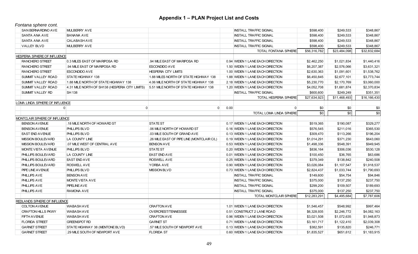*Fontana sphere cont.*

| SAN BERNARDINO AVE             | <b>MULBERRY AVE</b>                             |                                            |      | <b>INSTALL TRAFFIC SIGNAL</b>    | \$598,400    | \$249,533    | \$348,867    |
|--------------------------------|-------------------------------------------------|--------------------------------------------|------|----------------------------------|--------------|--------------|--------------|
| <b>SANTA ANA AVE</b>           | <b>BANANA AVE</b>                               |                                            |      | <b>INSTALL TRAFFIC SIGNAL</b>    | \$598,400    | \$249,533    | \$348,867    |
| SANTA ANA AVE                  | <b>CALABASH AVE</b>                             |                                            |      | <b>INSTALL TRAFFIC SIGNAL</b>    | \$598,400    | \$249,533    | \$348,867    |
| <b>VALLEY BLVD</b>             | <b>MULBERRY AVE</b>                             |                                            |      | <b>INSTALL TRAFFIC SIGNAL</b>    | \$598,400    | \$249,533    | \$348,867    |
|                                |                                                 |                                            |      | TOTAL FONTANA SPHERE             | \$56,316,782 | \$23,484,098 | \$32,832,684 |
| HESPERIA SPHERE OF INFLUENCE   |                                                 |                                            |      |                                  |              |              |              |
| <b>RANCHERO STREET</b>         | 0.3 MILES EAST OF MARIPOSA RD                   | .94 MILE EAST OF MARIPOSA RD               |      | 0.94 WIDEN 1 LANE EACH DIRECTION | \$2,462,250  | \$1,021,834  | \$1,440,416  |
| <b>RANCHERO STREET</b>         | .94 MILE EAST OF MARIPOSA RD                    | <b>ESCONDIDO AVE</b>                       |      | 1.50 WIDEN 1 LANE EACH DIRECTION | \$6,207,387  | \$2,576,066  | \$3,631,321  |
| <b>RANCHERO STREET</b>         | <b>ESCONDIDO AVE</b>                            | <b>HESPERIA CITY LIMITS</b>                |      | 1.00 WIDEN 1 LANE EACH DIRECTION | \$2,630,363  | \$1,091,601  | \$1,538,762  |
| <b>SUMMIT VALLEY ROAD</b>      | STATE HIGHWAY 138                               | 1.88 MILES NORTH OF STATE HIGHWAY 138      |      | 1.88 WIDEN 1 LANE EACH DIRECTION | \$6,450,845  | \$2,677,101  | \$3,773,744  |
| SUMMIT VALLEY ROAD             | 1.88 MILE NORTH OF STATE HIGHWAY 138            | 4.06 MILE NORTH OF STATE HIGHWAY 138       |      | 2.18 WIDEN 1 LANE EACH DIRECTION | \$5,230,770  | \$2,170,769  | \$3,060,000  |
| <b>SUMMIT VALLEY ROAD</b>      | 4.31 MILE NORTH OF SH138 (HESPERIA CITY LIMITS) | 5.51 MILE NORTH OF STATE HIGHWAY 138       |      | 1.20 WIDEN 1 LANE EACH DIRECTION | \$4,052,708  | \$1,681,874  | \$2,370,834  |
| SUMMIT VALLEY RD               | <b>SH 138</b>                                   |                                            |      | <b>INSTALL TRAFFIC SIGNAL</b>    | \$600,600    | \$249,249    | \$351,351    |
|                                |                                                 |                                            |      | TOTAL HESPERIA SPHERE            | \$27,634,923 | \$11,468,493 | \$16,166,430 |
| LOMA LINDA SPHERE OF INFLUENCE |                                                 |                                            |      |                                  |              |              |              |
|                                | $\overline{0}$                                  | $\overline{0}$<br>$\Omega$                 | 0.00 | $\Omega$                         | \$0          | \$0          | \$0          |
|                                |                                                 |                                            |      | TOTAL LOMA LINDA SPHERE          | \$0          | \$0          | \$0          |
| MONTCLAIR SPHERE OF INFLUENCE  |                                                 |                                            |      |                                  |              |              |              |
| <b>BENSON AVENUE</b>           | .18 MILE NORTH OF HOWARD ST                     | <b>STATE ST</b>                            |      | 0.17 WIDEN 1 LANE EACH DIRECTION | \$519,365    | \$190,087    | \$329,277    |
| <b>BENSON AVENUE</b>           | PHILLIPS BLVD                                   | .06 MILE NORTH OF HOWARD ST                |      | 0.16 WIDEN 1 LANE EACH DIRECTION | \$576,545    | \$211,016    | \$365,530    |
| <b>EAST END AVENUE</b>         | PHILLIPS BLVD                                   | .03 MILE SOUTH OF GRAND AVE                |      | 0.13 WIDEN 1 LANE EACH DIRECTION | \$309,470    | \$113,266    | \$196,204    |
| <b>MISSION BOULEVARD</b>       | LA COUNTY LINE                                  | .26 MILE EAST OF PIPE LINE (MONTCLAIR C/L) |      | 0.19 WIDEN 1 LANE EACH DIRECTION | \$1,014,291  | \$371,230    | \$643,060    |
| <b>MISSION BOULEVARD</b>       | .07 MILE WEST OF CENTRAL AVE                    | <b>BENSON AVE</b>                          |      | 0.53 WIDEN 1 LANE EACH DIRECTION | \$1,498,336  | \$548,391    | \$949,945    |
| <b>MONTE VISTA AVENUE</b>      | PHILLIPS BLVD                                   | STATE ST                                   |      | 0.20 WIDEN 1 LANE EACH DIRECTION | \$836,164    | \$306,036    | \$530,128    |
| PHILLIPS BOULEVARD             | LA COUNTY LINE                                  | <b>EAST END AVE</b>                        |      | 0.01 WIDEN 1 LANE EACH DIRECTION | \$100,450    | \$36,765     | \$63,686     |
| PHILLIPS BOULEVARD             | <b>EAST END AVE</b>                             | <b>ROSWELL AVE</b>                         |      | 0.25 WIDEN 1 LANE EACH DIRECTION | \$379,349    | \$138,842    | \$240,508    |
| PHILLIPS BOULEVARD             | ROSWELL AVE                                     | YORBA AVE                                  |      | 0.90 WIDEN 1 LANE EACH DIRECTION | \$3,026,084  | \$1,107,547  | \$1,918,537  |
| PIPE LINE AVENUE               | PHILLIPS BLVD                                   | <b>MISSION BLVD</b>                        |      | 0.73 WIDEN 1 LANE EACH DIRECTION | \$2,824,437  | \$1,033,744  | \$1,790,693  |
| PHILLIPS AVE                   | <b>BENSON AVE</b>                               |                                            |      | <b>INSTALL TRAFFIC SIGNAL</b>    | \$149,600    | \$54,754     | \$94,846     |
| PHILLIPS AVE                   | MONTE VISTA AVE                                 |                                            |      | <b>INSTALL TRAFFIC SIGNAL</b>    | \$375,000    | \$137,250    | \$237,750    |
| <b>PHILLIPS AVE</b>            | PIPELINE AVE                                    |                                            |      | <b>INSTALL TRAFFIC SIGNAL</b>    | \$299,200    | \$109,507    | \$189,693    |
| PHILLIPS AVE                   | RAMONA AVE                                      |                                            |      | <b>INSTALL TRAFFIC SIGNAL</b>    | \$375,000    | \$137,250    | \$237,750    |
|                                |                                                 |                                            |      | TOTAL MONTCLAIR SPHERE           | \$12,283,291 | \$4,495,684  | \$7,787,606  |
| REDLANDS SPHERE OF INFLUENCE   |                                                 |                                            |      |                                  |              |              |              |
| <b>COLTON AVENUE</b>           | <b>WABASH AVE</b>                               | <b>CRAFTON AVE</b>                         |      | 1.01 WIDEN 1 LANE EACH DIRECTION | \$1,546,457  | \$548,992    | \$997,464    |
| <b>CRAFTON HILLS PKWY</b>      | <b>WABASH AVE</b>                               | OVERCREST/TENNESSEE                        |      | 0.51 CONSTRUCT 2 LANE ROAD       | \$6,328,935  | \$2,246,772  | \$4,082,163  |
| <b>FIFTH AVENUE</b>            | <b>WABASH AVE</b>                               | <b>CRAFTON AVE</b>                         |      | 0.96 WIDEN 1 LANE EACH DIRECTION | \$3,021,508  | \$1,072,635  | \$1,948,873  |
| <b>FLORIDA STREET</b>          | <b>GREENSPOT RD</b>                             | <b>GARNET ST</b>                           |      | 0.71 WIDEN 1 LANE EACH DIRECTION | \$3,161,717  | \$1,122,410  | \$2,039,308  |
| <b>GARNET STREET</b>           | STATE HIGHWAY 38 (MENTONE BLVD)                 | .57 MILE SOUTH OF NEWPORT AVE              |      | 0.13 WIDEN 1 LANE EACH DIRECTION | \$382,591    | \$135,820    | \$246,771    |
| <b>GARNET STREET</b>           | .29 MILE SOUTH OF NEWPORT AVE                   | <b>FLORIDA ST</b>                          |      | 0.60 WIDEN 1 LANE EACH DIRECTION | \$1,835,527  | \$651,612    | \$1,183,915  |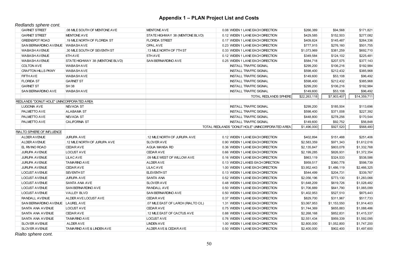*Redlands sphere cont.*

| <b>GARNET STREET</b>                      | .08 MILE SOUTH OF MENTONE AVE   | MENTONE AVE                         | 0.08 WIDEN 1 LANE EACH DIRECTION                | \$266,389    | \$94,568    | \$171,821    |
|-------------------------------------------|---------------------------------|-------------------------------------|-------------------------------------------------|--------------|-------------|--------------|
| <b>GARNET STREET</b>                      | <b>MENTONE AVE</b>              | STATE HIGHWAY 38 (MENTONE BLVD)     | 0.12 WIDEN 1 LANE EACH DIRECTION                | \$429,585    | \$152,503   | \$277,082    |
| <b>GREENSPOT ROAD</b>                     | .19 MILE NORTH OF FLORIDA ST    | <b>FLORIDA STREET</b>               | 0.17 WIDEN 1 LANE EACH DIRECTION                | \$409.824    | \$145.487   | \$264,336    |
| <b>SAN BERNARDINO AVENUE</b>              | <b>WABASHAVE</b>                | OPAL AVE                            | 0.23 WIDEN 1 LANE EACH DIRECTION                | \$777,915    | \$276,160   | \$501,755    |
| <b>WABASH AVENUE</b>                      | .30 MILE SOUTH OF SEVENTH ST    | .13 MILE NORTH OF 7TH ST            | 0.33 WIDEN 1 LANE EACH DIRECTION                | \$1,073,969  | \$381,259   | \$692,710    |
| <b>WABASH AVENUE</b>                      | 6TH AVE                         | 5TH AVE                             | 0.12 WIDEN 1 LANE EACH DIRECTION                | \$349,584    | \$124,102   | \$225,481    |
| <b>WABASH AVENUE</b>                      | STATE HIGHWAY 38 (MENTONE BLVD) | SAN BERNARDINO AVE                  | 0.25 WIDEN 1 LANE EACH DIRECTION                | \$584,718    | \$207,575   | \$377,143    |
| COLTON AVE                                | <b>WABASHAVE</b>                |                                     | <b>INSTALL TRAFFIC SIGNAL</b>                   | \$299,200    | \$106,216   | \$192,984    |
| <b>CRAFTON HILLS PKWY</b>                 | <b>WABASHAVE</b>                |                                     | <b>INSTALL TRAFFIC SIGNAL</b>                   | \$598,400    | \$212,432   | \$385,968    |
| FIFTH AVE                                 | <b>WABASHAVE</b>                |                                     | <b>INSTALL TRAFFIC SIGNAL</b>                   | \$149,600    | \$53,108    | \$96,492     |
| <b>FLORIDA ST</b>                         | <b>GARNET ST</b>                |                                     | <b>INSTALL TRAFFIC SIGNAL</b>                   | \$598,400    | \$212,432   | \$385,968    |
| <b>GARNET ST</b>                          | <b>SH38</b>                     |                                     | <b>INSTALL TRAFFIC SIGNAL</b>                   | \$299,200    | \$106,216   | \$192,984    |
| SAN BERNARDINO AVE                        | <b>WABASH AVE</b>               |                                     | <b>INSTALL TRAFFIC SIGNAL</b>                   | \$149,600    | \$53,108    | \$96,492     |
|                                           |                                 |                                     | <b>TOTAL REDLANDS SPHERE</b>                    | \$22,263,118 | \$7,903,407 | \$14,359,711 |
| REDLANDS "DONUT HOLE" UNINCORPORATED AREA |                                 |                                     |                                                 |              |             |              |
| LUGONIA AVE                               | NEVADA ST                       |                                     | <b>INSTALL TRAFFIC SIGNAL</b>                   | \$299,200    | \$185,504   | \$113,696    |
| PALMETTO AVE                              | <b>ALABAMA ST</b>               |                                     | <b>INSTALL TRAFFIC SIGNAL</b>                   | \$598,400    | \$371,008   | \$227,392    |
| PALMETTO AVE                              | NEVADA ST                       |                                     | <b>INSTALL TRAFFIC SIGNAL</b>                   | \$448,800    | \$278,256   | \$170,544    |
| PALMETTO AVE                              | <b>CALIFORNIA ST</b>            |                                     | <b>INSTALL TRAFFIC SIGNAL</b>                   | \$149,600    | \$92,752    | \$56,848     |
|                                           |                                 |                                     | TOTAL REDLANDS "DONUT HOLE" UNINCORPORATED AREA | \$1,496,000  | \$927,520   | \$568,480    |
| RIALTO SPHERE OF INFLUENCE                |                                 |                                     |                                                 |              |             |              |
| <b>ALDER AVENUE</b>                       | <b>JURUPA AVE</b>               | .12 MILE NORTH OF JURUPA AVE        | 0.12 WIDEN 1 LANE EACH DIRECTION                | \$402,894    | \$151,488   | \$251,406    |
| <b>ALDER AVENUE</b>                       | .12 MILE NORTH OF JURUPA AVE    | <b>SLOVER AVE</b>                   | 0.90 WIDEN 1 LANE EACH DIRECTION                | \$2,583,359  | \$971,343   | \$1,612,016  |
| EL RIVINO ROAD                            | <b>CEDARAVE</b>                 | AGUA MANSA RD                       | 0.36 WIDEN 1 LANE EACH DIRECTION                | \$2,135,847  | \$803,078   | \$1,332,768  |
| <b>JURUPA AVENUE</b>                      | LOCUST AVE                      | <b>CEDARAVE</b>                     | 0.66 WIDEN 1 LANE EACH DIRECTION                | \$2,199,285  | \$826,931   | \$1,372,354  |
| <b>JURUPA AVENUE</b>                      | <b>LILACAVE</b>                 | .09 MILE WEST OF WILLOW AVE         | 0.16 WIDEN 1 LANE EACH DIRECTION                | \$863,119    | \$324,533   | \$538,586    |
| <b>JURUPA AVENUE</b>                      | <b>TAMARIND AVE</b>             | ALDER AVE                           | 0.13 WIDEN 2 LANES EACH DIRECTION               | \$959,517    | \$360,778   | \$598,739    |
| <b>JURUPA AVENUE</b>                      | <b>CEDARAVE</b>                 | <b>LILACAVE</b>                     | 1.00 WIDEN 1 LANE EACH DIRECTION                | \$3,952,443  | \$1,486,119 | \$2,466,325  |
| <b>LOCUST AVENUE</b>                      | <b>SEVENTH ST</b>               | <b>ELEVENTH ST</b>                  | 0.13 WIDEN 1 LANE EACH DIRECTION                | \$544,499    | \$204,731   | \$339,767    |
| <b>LOCUST AVENUE</b>                      | <b>JURUPA AVE</b>               | <b>SANTA ANA</b>                    | 0.52 WIDEN 1 LANE EACH DIRECTION                | \$2,056,196  | \$773,130   | \$1,283,066  |
| <b>LOCUST AVENUE</b>                      | <b>SANTA ANA AVE</b>            | <b>SLOVER AVE</b>                   | 0.48 WIDEN 1 LANE EACH DIRECTION                | \$1,648,209  | \$619,726   | \$1,028,482  |
| <b>LOCUST AVENUE</b>                      | <b>SAN BERNARDINO AVE</b>       | RANDALL AVE                         | 0.50 WIDEN 1 LANE EACH DIRECTION                | \$1,706,889  | \$641,790   | \$1,065,099  |
| <b>LOCUST AVENUE</b>                      | VALLEY BLVD                     | SAN BERNARDINO AVE                  | 0.50 WIDEN 1 LANE EACH DIRECTION                | \$1,402,953  | \$527,510   | \$875,443    |
| RANDALL AVENUE                            | ALDER AVE LOCUST AVE            | <b>CEDARAVE</b>                     | 0.37 WIDEN 1 LANE EACH DIRECTION                | \$829,700    | \$311,967   | \$517,733    |
| SAN BERNARDINO AVENUE   LAUREL AVE        |                                 | .07 MILE EAST OF LARCH (RIALTO C/L) | 1.31 WIDEN 1 LANE EACH DIRECTION                | \$3,067,953  | \$1,153,550 | \$1,914,403  |
| SANTA ANA AVENUE                          | LOCUST AVE                      | <b>CEDARAVE</b>                     | 0.75 WIDEN 1 LANE EACH DIRECTION                | \$1,744,369  | \$655,883   | \$1,088,486  |
| SANTA ANA AVENUE                          | <b>CEDARAVE</b>                 | .12 MILE EAST OF CACTUS AVE         | 0.88 WIDEN 1 LANE EACH DIRECTION                | \$2,268,168  | \$852,831   | \$1,415,337  |
| SANTA ANA AVENUE                          | <b>TAMARIND AVE</b>             | <b>LOCUST AVE</b>                   | 0.76 WIDEN 1 LANE EACH DIRECTION                | \$2,551,434  | \$959,339   | \$1,592,095  |
| SLOVER AVENUE                             | <b>ALDER AVE</b>                | <b>LINDEN AVE</b>                   | 1.00 WIDEN 1 LANE EACH DIRECTION                | \$2,800,000  | \$1,052,800 | \$1,747,200  |
|                                           |                                 |                                     |                                                 |              |             |              |

*Rialto sphere cont.*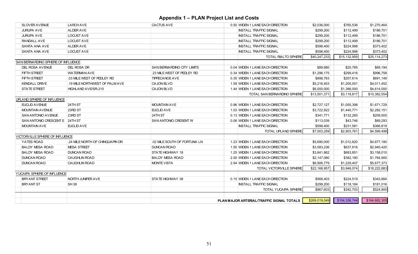| <b>SLOVER AVENUE</b>               | <b>LARCHAVE</b>                 | <b>CACTUS AVE</b>                 | 0.50 WIDEN 1 LANE EACH DIRECTION          | \$2,036,000   | \$765,536     | \$1,270,464   |
|------------------------------------|---------------------------------|-----------------------------------|-------------------------------------------|---------------|---------------|---------------|
| <b>JURUPA AVE</b>                  | <b>ALDER AVE</b>                |                                   | <b>INSTALL TRAFFIC SIGNAL</b>             | \$299,200     | \$112,499     | \$186,701     |
| <b>JURUPA AVE</b>                  | <b>LOCUST AVE</b>               |                                   | <b>INSTALL TRAFFIC SIGNAL</b>             | \$299,200     | \$112,499     | \$186,701     |
| RANDALL AVE                        | <b>LOCUST AVE</b>               |                                   | <b>INSTALL TRAFFIC SIGNAL</b>             | \$299.200     | \$112,499     | \$186,701     |
| <b>SANTA ANA AVE</b>               | ALDER AVE                       |                                   | <b>INSTALL TRAFFIC SIGNAL</b>             | \$598.400     | \$224,998     | \$373,402     |
| <b>SANTA ANA AVE</b>               | <b>LOCUST AVE</b>               |                                   | <b>INSTALL TRAFFIC SIGNAL</b>             | \$598,400     | \$224,998     | \$373,402     |
|                                    |                                 |                                   | TOTAL RIALTO SPHERE                       | \$40,247,233  | \$15,132,959  | \$25,114,273  |
| SAN BERNARDINO SPHERE OF INFLUENCE |                                 |                                   |                                           |               |               |               |
| DEL ROSA AVENUE                    | DEL ROSA DR                     | <b>SAN BERNARDINO CITY LIMITS</b> | 0.04 WIDEN 1 LANE EACH DIRECTION          | \$89.980      | \$20,785      | \$69,194      |
| FIFTH STREET                       | <b>WATERMAN AVE</b>             | .23 MILE WEST OF PEDLEY RD        | 0.34 WIDEN 1 LANE EACH DIRECTION          | \$1,296,175   | \$299,416     | \$996,758     |
| <b>FIFTH STREET</b>                | .03 MILE WEST OF PEDLEY RD      | <b>TIPPECANOE AVE</b>             | 0.35 WIDEN 1 LANE EACH DIRECTION          | \$898.763     | \$207.614     | \$691,149     |
| <b>KENDALL DRIVE</b>               | .19 MILE NORTHWEST OF PALM AVE  | <b>CAJON BLVD</b>                 | 1.59 WIDEN 1 LANE EACH DIRECTION          | \$5,216,453   | \$1,205,001   | \$4,011,452   |
| <b>STATE STREET</b>                | HIGHLAND AVE/SR-210             | <b>CAJON BLVD</b>                 | 1.44 WIDEN 1 LANE EACH DIRECTION          | \$6,000,000   | \$1,386,000   | \$4,614,000   |
|                                    |                                 |                                   | TOTAL SAN BERNARDINO SPHERE               | \$13,501,371  | \$3,118,817   | \$10,382,554  |
| UPLAND SPHERE OF INFLUENCE         |                                 |                                   |                                           |               |               |               |
| EUCLID AVENUE                      | 24TH ST                         | <b>MOUNTAIN AVE</b>               | 0.96 WIDEN 1 LANE EACH DIRECTION          | \$2,727,127   | \$1,055,398   | \$1,671,729   |
| <b>MOUNTAIN AVENUE</b>             | 23RD ST                         | EUCLID AVE                        | 1.03 WIDEN 1 LANE EACH DIRECTION          | \$3,722,922   | \$1,440,771   | \$2,282,151   |
| <b>SAN ANTONIO AVENUE</b>          | 23RD ST                         | 24TH ST                           | 0.13 WIDEN 1 LANE EACH DIRECTION          | \$341,771     | \$132,265     | \$209,505     |
| <b>SAN ANTONIO CRESCENT E</b>      | 24TH ST                         | <b>SAN ANTONIO CRESENT W</b>      | 0.06 WIDEN 1 LANE EACH DIRECTION          | \$113,039     | \$43,746      | \$69,293      |
| <b>MOUNTAIN AVE</b>                | EUCLID AVE                      |                                   | <b>INSTALL TRAFFIC SIGNAL</b>             | \$598,400     | \$231,581     | \$366,819     |
|                                    |                                 |                                   | TOTAL UPLAND SPHERE                       | \$7,503,259   | \$2,903,761   | \$4,599,498   |
| VICTORVILLE SPHERE OF INFLUENCE    |                                 |                                   |                                           |               |               |               |
| YATES ROAD                         | .24 MILE NORTH OF CHINQUAPIN DR | .02 MILE SOUTH OF FORTUNA LN      | 1.23 WIDEN 1 LANE EACH DIRECTION          | \$5,690,000   | \$1,012,820   | \$4,677,180   |
| <b>BALDY MESA ROAD</b>             | <b>MESA STREET</b>              | <b>DUNCAN ROAD</b>                | 1.50 WIDEN 1 LANE EACH DIRECTION          | \$3,583,236   | \$637,816     | \$2,945,420   |
| <b>BALDY MESA ROAD</b>             | <b>DUNCAN ROAD</b>              | STATE HIGHWAY 18                  | 1.25 WIDEN 1 LANE EACH DIRECTION          | \$3,841,862   | \$683,851     | \$3,158,010   |
| <b>DUNCAN ROAD</b>                 | <b>CAUGHLIN ROAD</b>            | <b>BALDY MESA ROAD</b>            | 2.00 WIDEN 1 LANE EACH DIRECTION          | \$2,147,080   | \$382,180     | \$1,764,900   |
| <b>DUNCAN ROAD</b>                 | <b>CAUGHLIN ROAD</b>            | <b>MONTE VISTA</b>                | 2.94 WIDEN 1 LANE EACH DIRECTION          | \$6,906,779   | \$1,229,407   | \$5,677,373   |
|                                    |                                 |                                   | <b>TOTAL VICTORVILLE SPHERE</b>           | \$22,168,957  | \$3,946,074   | \$18,222,883  |
| YUCAIPA SPHERE OF INFLUENCE        |                                 |                                   |                                           |               |               |               |
| <b>BRYANT STREET</b>               | NORTH JUNIPER AVE               | <b>STATE HIGHWAY 38</b>           | 0.15 WIDEN 1 LANE EACH DIRECTION          | \$568,403     | \$224,519     | \$343,884     |
| <b>BRYANT ST</b>                   | <b>SH38</b>                     |                                   | <b>INSTALL TRAFFIC SIGNAL</b>             | \$299,200     | \$118,184     | \$181,016     |
|                                    |                                 |                                   | TOTAL YUCAIPA SPHERE                      | \$867,603     | \$342,703     | \$524,900     |
|                                    |                                 |                                   |                                           |               |               |               |
|                                    |                                 |                                   | PLAN MAJOR ARTERIAL/TRAFFIC SIGNAL TOTALS | \$269,019,049 | \$104,336,744 | \$164,682,305 |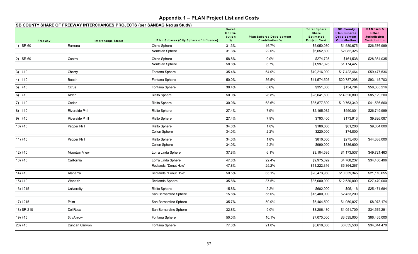|                 | SB COUNTY SHARE OF FREEWAY INTERCHANGES PROJECTS (per SANBAG Nexus Study) |                                         |                                     |                                                          |                                                                                |                                                                        |                                                                     |
|-----------------|---------------------------------------------------------------------------|-----------------------------------------|-------------------------------------|----------------------------------------------------------|--------------------------------------------------------------------------------|------------------------------------------------------------------------|---------------------------------------------------------------------|
| Freeway         | <b>Interchange Street</b>                                                 | Plan Subarea (City Sphere of Influence) | Devel.<br>Contri-<br>bution<br>$\%$ | <b>Plan Subarea Development</b><br><b>Contribution %</b> | <b>Total Sphere</b><br><b>Share</b><br><b>Estimated</b><br><b>Project Cost</b> | <b>SB County</b><br>Plan Subarea<br><b>Development</b><br>Contribution | <b>SANBAG &amp;</b><br>Other<br><b>Jurisdiction</b><br>Contribution |
| $1)$ SR-60      | Ramona                                                                    | Chino Sphere                            | 31.3%                               | 16.7%                                                    | \$5,050,080                                                                    | \$1,580,675                                                            | \$26,576,999                                                        |
|                 |                                                                           | Montclair Sphere                        | 31.3%                               | 22.0%                                                    | \$6,652,800                                                                    | \$2,082,326                                                            |                                                                     |
| $ 2)$ SR-60     | Central                                                                   | Chino Sphere                            | 58.8%                               | 0.9%                                                     | \$274,725                                                                      | \$161,538                                                              | \$28,364,035                                                        |
|                 |                                                                           | Montclair Sphere                        | 58.8%                               | 6.7%                                                     | \$1,997,325                                                                    | \$1,174,427                                                            |                                                                     |
| $3)$ $+10$      | Cherry                                                                    | Fontana Sphere                          | 35.4%                               | 64.0%                                                    | \$49,216,000                                                                   | \$17,422,464                                                           | \$59,477,536                                                        |
| $4)$ $+10$      | Beech                                                                     | Fontana Sphere                          | 50.0%                               | 36.5%                                                    | \$41,574,595                                                                   | \$20,787,298                                                           | \$93,115,703                                                        |
| $5)$ $-10$      | Citrus                                                                    | Fontana Sphere                          | 38.4%                               | 0.6%                                                     | \$351,000                                                                      | \$134,784                                                              | \$58,365,216                                                        |
| $6)$ 10         | Alder                                                                     | <b>Rialto Sphere</b>                    | 50.0%                               | 28.8%                                                    | \$28,641,600                                                                   | \$14,320,800                                                           | \$85,129,200                                                        |
| $7)$ 10         | Cedar                                                                     | Rialto Sphere                           | 30.0%                               | 68.6%                                                    | \$35,877,800                                                                   | \$10,763,340                                                           | \$41,536,660                                                        |
| $8)$ $+10$      | Riverside Ph I                                                            | Rialto Sphere                           | 27.4%                               | 7.9%                                                     | \$2,165,982                                                                    | \$550,001                                                              | \$26,749,999                                                        |
| $9)$ $10$       | Riverside Ph II                                                           | Rialto Sphere                           | 27.4%                               | 7.9%                                                     | \$793,400                                                                      | \$173,913                                                              | \$9,826,087                                                         |
| $10)$ -10       | Pepper Ph I                                                               | <b>Rialto Sphere</b>                    | 34.0%                               | 1.8%                                                     | \$180,000                                                                      | \$61,200                                                               | \$9,864,000                                                         |
|                 |                                                                           | <b>Colton Sphere</b>                    | 34.0%                               | 2.2%                                                     | \$220,000                                                                      | \$74,800                                                               |                                                                     |
| $11)$ -10       | Pepper Ph II                                                              | Rialto Sphere                           | 34.0%                               | 1.8%                                                     | \$810,000                                                                      | \$275,400                                                              | \$44,388,000                                                        |
|                 |                                                                           | Colton Sphere                           | 34.0%                               | 2.2%                                                     | \$990,000                                                                      | \$336,600                                                              |                                                                     |
| $12)$ -10       | Mountain View                                                             | Loma Linda Sphere                       | 37.8%                               | 6.1%                                                     | \$3,104,595                                                                    | \$1,173,537                                                            | \$49,721,463                                                        |
| $13$ $F10$      | California                                                                | Loma Linda Sphere                       | 47.8%                               | 22.4%                                                    | \$9,975,392                                                                    | \$4,768,237                                                            | \$34,400,496                                                        |
|                 |                                                                           | Redlands "Donut Hole"                   | 47.8%                               | 25.2%                                                    | \$11,222,316                                                                   | \$5,364,267                                                            |                                                                     |
| $14)$ -10       | Alabama                                                                   | Redlands "Donut Hole"                   | 50.5%                               | 65.1%                                                    | \$20,473,950                                                                   | \$10,339,345                                                           | \$21,110,655                                                        |
| $15$ $-10$      | Wabash                                                                    | Redlands Sphere                         | 35.8%                               | 87.5%                                                    | \$35,000,000                                                                   | \$12,530,000                                                           | \$27,470,000                                                        |
| 16) I-215       | University                                                                | <b>Rialto Sphere</b>                    | 15.8%                               | 2.2%                                                     | \$602,000                                                                      | \$95,116                                                               | \$25,471,684                                                        |
|                 |                                                                           | San Bernardino Sphere                   | 15.8%                               | 55.0%                                                    | \$15,400,000                                                                   | \$2,433,200                                                            |                                                                     |
| 17) <b>1215</b> | Palm                                                                      | San Bernardino Sphere                   | 35.7%                               | 50.0%                                                    | \$5,464,500                                                                    | \$1,950,827                                                            | \$8,978,174                                                         |
| 18) SR-210      | Del Rosa                                                                  | San Bernardino Sphere                   | 32.8%                               | 9.0%                                                     | \$3,206,430                                                                    | \$1,051,709                                                            | \$34,575,291                                                        |
| 19) I-15        | 6th/Arrow                                                                 | Fontana Sphere                          | 50.0%                               | 10.1%                                                    | \$7,070,000                                                                    | \$3,535,000                                                            | \$66,465,000                                                        |
| 20) I-15        | Duncan Canyon                                                             | Fontana Sphere                          | 77.3%                               | 21.0%                                                    | \$8,610,000                                                                    | \$6,655,530                                                            | \$34,344,470                                                        |